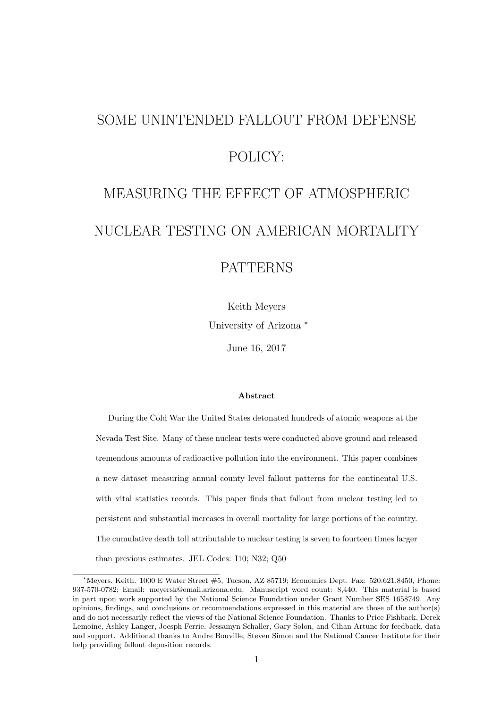# SOME UNINTENDED FALLOUT FROM DEFENSE POLICY: MEASURING THE EFFECT OF ATMOSPHERIC

## NUCLEAR TESTING ON AMERICAN MORTALITY

### PATTERNS

Keith Meyers

University of Arizona <sup>∗</sup>

June 16, 2017

#### Abstract

During the Cold War the United States detonated hundreds of atomic weapons at the Nevada Test Site. Many of these nuclear tests were conducted above ground and released tremendous amounts of radioactive pollution into the environment. This paper combines a new dataset measuring annual county level fallout patterns for the continental U.S. with vital statistics records. This paper finds that fallout from nuclear testing led to persistent and substantial increases in overall mortality for large portions of the country. The cumulative death toll attributable to nuclear testing is seven to fourteen times larger than previous estimates. JEL Codes: I10; N32; Q50

<sup>∗</sup>Meyers, Keith. 1000 E Water Street #5, Tucson, AZ 85719; Economics Dept. Fax: 520.621.8450, Phone: 937-570-0782; Email: meyersk@email.arizona.edu. Manuscript word count: 8,440. This material is based in part upon work supported by the National Science Foundation under Grant Number SES 1658749. Any opinions, findings, and conclusions or recommendations expressed in this material are those of the author(s) and do not necessarily reflect the views of the National Science Foundation. Thanks to Price Fishback, Derek Lemoine, Ashley Langer, Joesph Ferrie, Jessamyn Schaller, Gary Solon, and Cihan Artunc for feedback, data and support. Additional thanks to Andre Bouville, Steven Simon and the National Cancer Institute for their help providing fallout deposition records.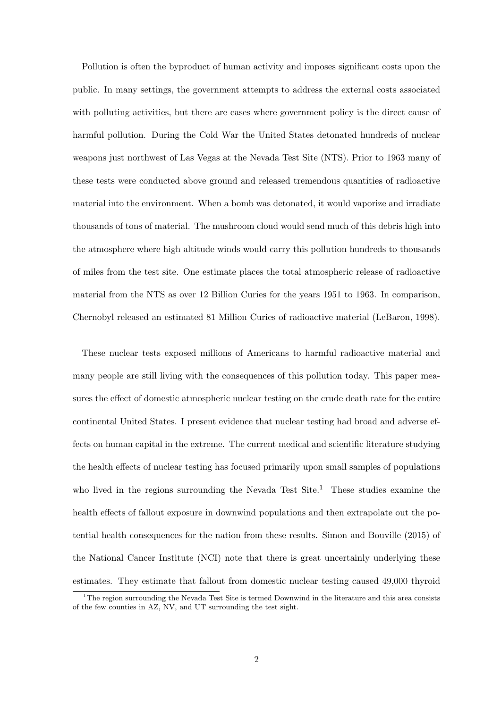Pollution is often the byproduct of human activity and imposes significant costs upon the public. In many settings, the government attempts to address the external costs associated with polluting activities, but there are cases where government policy is the direct cause of harmful pollution. During the Cold War the United States detonated hundreds of nuclear weapons just northwest of Las Vegas at the Nevada Test Site (NTS). Prior to 1963 many of these tests were conducted above ground and released tremendous quantities of radioactive material into the environment. When a bomb was detonated, it would vaporize and irradiate thousands of tons of material. The mushroom cloud would send much of this debris high into the atmosphere where high altitude winds would carry this pollution hundreds to thousands of miles from the test site. One estimate places the total atmospheric release of radioactive material from the NTS as over 12 Billion Curies for the years 1951 to 1963. In comparison, Chernobyl released an estimated 81 Million Curies of radioactive material (LeBaron, 1998).

These nuclear tests exposed millions of Americans to harmful radioactive material and many people are still living with the consequences of this pollution today. This paper measures the effect of domestic atmospheric nuclear testing on the crude death rate for the entire continental United States. I present evidence that nuclear testing had broad and adverse effects on human capital in the extreme. The current medical and scientific literature studying the health effects of nuclear testing has focused primarily upon small samples of populations who lived in the regions surrounding the Nevada Test Site.<sup>1</sup> These studies examine the health effects of fallout exposure in downwind populations and then extrapolate out the potential health consequences for the nation from these results. Simon and Bouville (2015) of the National Cancer Institute (NCI) note that there is great uncertainly underlying these estimates. They estimate that fallout from domestic nuclear testing caused 49,000 thyroid

<sup>&</sup>lt;sup>1</sup>The region surrounding the Nevada Test Site is termed Downwind in the literature and this area consists of the few counties in AZ, NV, and UT surrounding the test sight.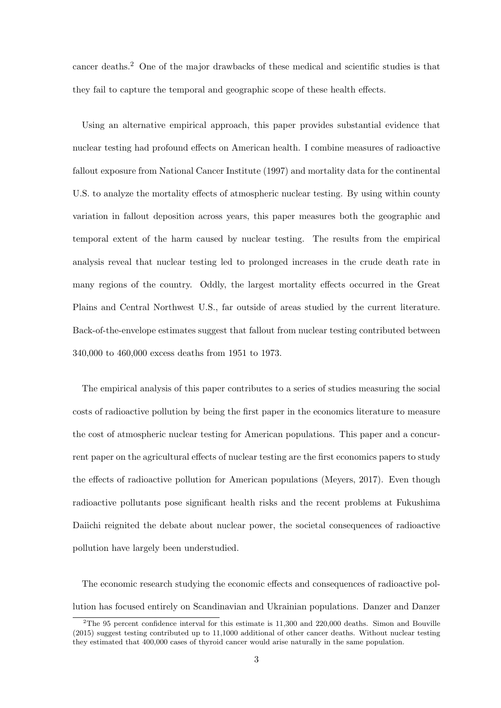cancer deaths.<sup>2</sup> One of the major drawbacks of these medical and scientific studies is that they fail to capture the temporal and geographic scope of these health effects.

Using an alternative empirical approach, this paper provides substantial evidence that nuclear testing had profound effects on American health. I combine measures of radioactive fallout exposure from National Cancer Institute (1997) and mortality data for the continental U.S. to analyze the mortality effects of atmospheric nuclear testing. By using within county variation in fallout deposition across years, this paper measures both the geographic and temporal extent of the harm caused by nuclear testing. The results from the empirical analysis reveal that nuclear testing led to prolonged increases in the crude death rate in many regions of the country. Oddly, the largest mortality effects occurred in the Great Plains and Central Northwest U.S., far outside of areas studied by the current literature. Back-of-the-envelope estimates suggest that fallout from nuclear testing contributed between 340,000 to 460,000 excess deaths from 1951 to 1973.

The empirical analysis of this paper contributes to a series of studies measuring the social costs of radioactive pollution by being the first paper in the economics literature to measure the cost of atmospheric nuclear testing for American populations. This paper and a concurrent paper on the agricultural effects of nuclear testing are the first economics papers to study the effects of radioactive pollution for American populations (Meyers, 2017). Even though radioactive pollutants pose significant health risks and the recent problems at Fukushima Daiichi reignited the debate about nuclear power, the societal consequences of radioactive pollution have largely been understudied.

The economic research studying the economic effects and consequences of radioactive pollution has focused entirely on Scandinavian and Ukrainian populations. Danzer and Danzer

<sup>&</sup>lt;sup>2</sup>The 95 percent confidence interval for this estimate is  $11,300$  and  $220,000$  deaths. Simon and Bouville (2015) suggest testing contributed up to 11,1000 additional of other cancer deaths. Without nuclear testing they estimated that 400,000 cases of thyroid cancer would arise naturally in the same population.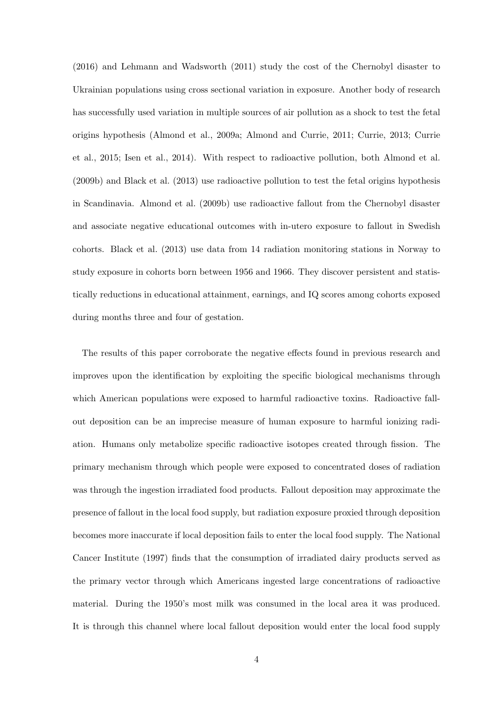(2016) and Lehmann and Wadsworth (2011) study the cost of the Chernobyl disaster to Ukrainian populations using cross sectional variation in exposure. Another body of research has successfully used variation in multiple sources of air pollution as a shock to test the fetal origins hypothesis (Almond et al., 2009a; Almond and Currie, 2011; Currie, 2013; Currie et al., 2015; Isen et al., 2014). With respect to radioactive pollution, both Almond et al. (2009b) and Black et al. (2013) use radioactive pollution to test the fetal origins hypothesis in Scandinavia. Almond et al. (2009b) use radioactive fallout from the Chernobyl disaster and associate negative educational outcomes with in-utero exposure to fallout in Swedish cohorts. Black et al. (2013) use data from 14 radiation monitoring stations in Norway to study exposure in cohorts born between 1956 and 1966. They discover persistent and statistically reductions in educational attainment, earnings, and IQ scores among cohorts exposed during months three and four of gestation.

The results of this paper corroborate the negative effects found in previous research and improves upon the identification by exploiting the specific biological mechanisms through which American populations were exposed to harmful radioactive toxins. Radioactive fallout deposition can be an imprecise measure of human exposure to harmful ionizing radiation. Humans only metabolize specific radioactive isotopes created through fission. The primary mechanism through which people were exposed to concentrated doses of radiation was through the ingestion irradiated food products. Fallout deposition may approximate the presence of fallout in the local food supply, but radiation exposure proxied through deposition becomes more inaccurate if local deposition fails to enter the local food supply. The National Cancer Institute (1997) finds that the consumption of irradiated dairy products served as the primary vector through which Americans ingested large concentrations of radioactive material. During the 1950's most milk was consumed in the local area it was produced. It is through this channel where local fallout deposition would enter the local food supply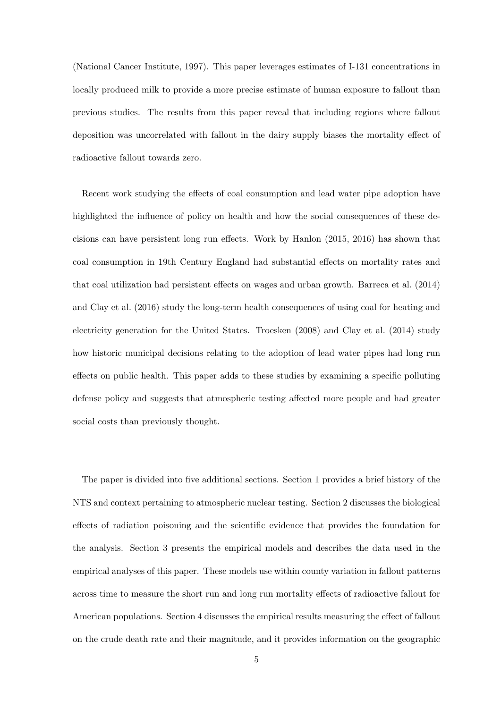(National Cancer Institute, 1997). This paper leverages estimates of I-131 concentrations in locally produced milk to provide a more precise estimate of human exposure to fallout than previous studies. The results from this paper reveal that including regions where fallout deposition was uncorrelated with fallout in the dairy supply biases the mortality effect of radioactive fallout towards zero.

Recent work studying the effects of coal consumption and lead water pipe adoption have highlighted the influence of policy on health and how the social consequences of these decisions can have persistent long run effects. Work by Hanlon (2015, 2016) has shown that coal consumption in 19th Century England had substantial effects on mortality rates and that coal utilization had persistent effects on wages and urban growth. Barreca et al. (2014) and Clay et al. (2016) study the long-term health consequences of using coal for heating and electricity generation for the United States. Troesken (2008) and Clay et al. (2014) study how historic municipal decisions relating to the adoption of lead water pipes had long run effects on public health. This paper adds to these studies by examining a specific polluting defense policy and suggests that atmospheric testing affected more people and had greater social costs than previously thought.

The paper is divided into five additional sections. Section 1 provides a brief history of the NTS and context pertaining to atmospheric nuclear testing. Section 2 discusses the biological effects of radiation poisoning and the scientific evidence that provides the foundation for the analysis. Section 3 presents the empirical models and describes the data used in the empirical analyses of this paper. These models use within county variation in fallout patterns across time to measure the short run and long run mortality effects of radioactive fallout for American populations. Section 4 discusses the empirical results measuring the effect of fallout on the crude death rate and their magnitude, and it provides information on the geographic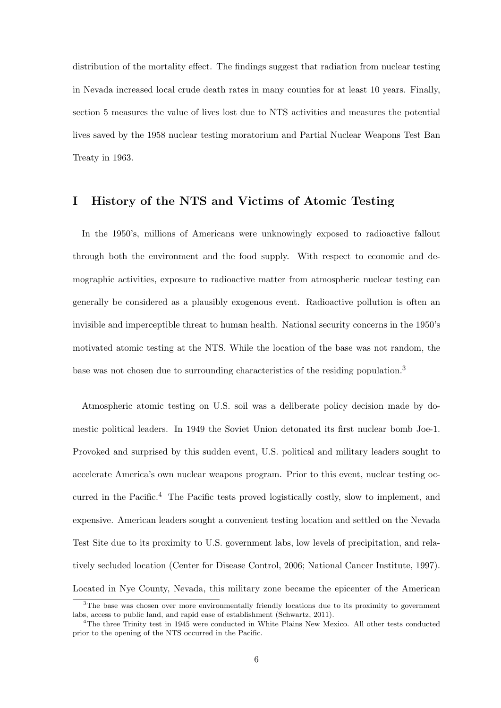distribution of the mortality effect. The findings suggest that radiation from nuclear testing in Nevada increased local crude death rates in many counties for at least 10 years. Finally, section 5 measures the value of lives lost due to NTS activities and measures the potential lives saved by the 1958 nuclear testing moratorium and Partial Nuclear Weapons Test Ban Treaty in 1963.

#### I History of the NTS and Victims of Atomic Testing

In the 1950's, millions of Americans were unknowingly exposed to radioactive fallout through both the environment and the food supply. With respect to economic and demographic activities, exposure to radioactive matter from atmospheric nuclear testing can generally be considered as a plausibly exogenous event. Radioactive pollution is often an invisible and imperceptible threat to human health. National security concerns in the 1950's motivated atomic testing at the NTS. While the location of the base was not random, the base was not chosen due to surrounding characteristics of the residing population.<sup>3</sup>

Atmospheric atomic testing on U.S. soil was a deliberate policy decision made by domestic political leaders. In 1949 the Soviet Union detonated its first nuclear bomb Joe-1. Provoked and surprised by this sudden event, U.S. political and military leaders sought to accelerate America's own nuclear weapons program. Prior to this event, nuclear testing occurred in the Pacific.<sup>4</sup> The Pacific tests proved logistically costly, slow to implement, and expensive. American leaders sought a convenient testing location and settled on the Nevada Test Site due to its proximity to U.S. government labs, low levels of precipitation, and relatively secluded location (Center for Disease Control, 2006; National Cancer Institute, 1997). Located in Nye County, Nevada, this military zone became the epicenter of the American

 $3$ The base was chosen over more environmentally friendly locations due to its proximity to government labs, access to public land, and rapid ease of establishment (Schwartz, 2011).

<sup>4</sup>The three Trinity test in 1945 were conducted in White Plains New Mexico. All other tests conducted prior to the opening of the NTS occurred in the Pacific.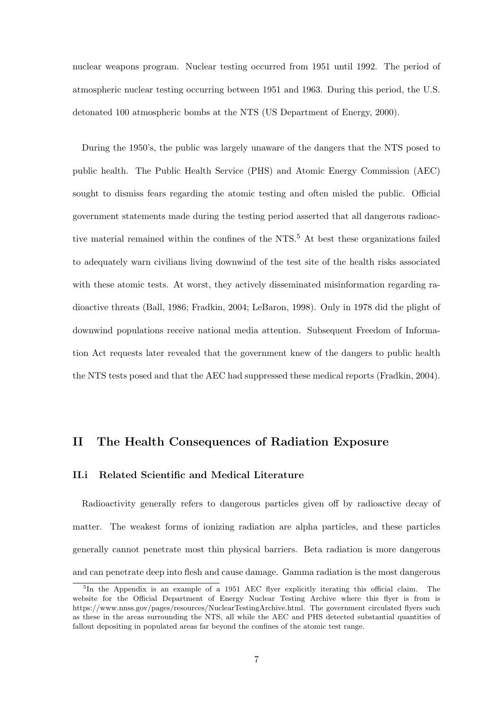nuclear weapons program. Nuclear testing occurred from 1951 until 1992. The period of atmospheric nuclear testing occurring between 1951 and 1963. During this period, the U.S. detonated 100 atmospheric bombs at the NTS (US Department of Energy, 2000).

During the 1950's, the public was largely unaware of the dangers that the NTS posed to public health. The Public Health Service (PHS) and Atomic Energy Commission (AEC) sought to dismiss fears regarding the atomic testing and often misled the public. Official government statements made during the testing period asserted that all dangerous radioactive material remained within the confines of the NTS.<sup>5</sup> At best these organizations failed to adequately warn civilians living downwind of the test site of the health risks associated with these atomic tests. At worst, they actively disseminated misinformation regarding radioactive threats (Ball, 1986; Fradkin, 2004; LeBaron, 1998). Only in 1978 did the plight of downwind populations receive national media attention. Subsequent Freedom of Information Act requests later revealed that the government knew of the dangers to public health the NTS tests posed and that the AEC had suppressed these medical reports (Fradkin, 2004).

#### II The Health Consequences of Radiation Exposure

#### II.i Related Scientific and Medical Literature

Radioactivity generally refers to dangerous particles given off by radioactive decay of matter. The weakest forms of ionizing radiation are alpha particles, and these particles generally cannot penetrate most thin physical barriers. Beta radiation is more dangerous and can penetrate deep into flesh and cause damage. Gamma radiation is the most dangerous

<sup>&</sup>lt;sup>5</sup>In the Appendix is an example of a 1951 AEC flyer explicitly iterating this official claim. The website for the Official Department of Energy Nuclear Testing Archive where this flyer is from is https://www.nnss.gov/pages/resources/NuclearTestingArchive.html. The government circulated flyers such as these in the areas surrounding the NTS, all while the AEC and PHS detected substantial quantities of fallout depositing in populated areas far beyond the confines of the atomic test range.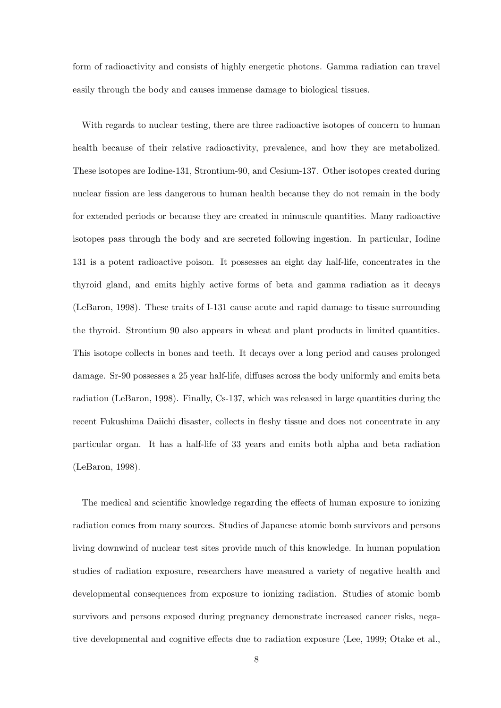form of radioactivity and consists of highly energetic photons. Gamma radiation can travel easily through the body and causes immense damage to biological tissues.

With regards to nuclear testing, there are three radioactive isotopes of concern to human health because of their relative radioactivity, prevalence, and how they are metabolized. These isotopes are Iodine-131, Strontium-90, and Cesium-137. Other isotopes created during nuclear fission are less dangerous to human health because they do not remain in the body for extended periods or because they are created in minuscule quantities. Many radioactive isotopes pass through the body and are secreted following ingestion. In particular, Iodine 131 is a potent radioactive poison. It possesses an eight day half-life, concentrates in the thyroid gland, and emits highly active forms of beta and gamma radiation as it decays (LeBaron, 1998). These traits of I-131 cause acute and rapid damage to tissue surrounding the thyroid. Strontium 90 also appears in wheat and plant products in limited quantities. This isotope collects in bones and teeth. It decays over a long period and causes prolonged damage. Sr-90 possesses a 25 year half-life, diffuses across the body uniformly and emits beta radiation (LeBaron, 1998). Finally, Cs-137, which was released in large quantities during the recent Fukushima Daiichi disaster, collects in fleshy tissue and does not concentrate in any particular organ. It has a half-life of 33 years and emits both alpha and beta radiation (LeBaron, 1998).

The medical and scientific knowledge regarding the effects of human exposure to ionizing radiation comes from many sources. Studies of Japanese atomic bomb survivors and persons living downwind of nuclear test sites provide much of this knowledge. In human population studies of radiation exposure, researchers have measured a variety of negative health and developmental consequences from exposure to ionizing radiation. Studies of atomic bomb survivors and persons exposed during pregnancy demonstrate increased cancer risks, negative developmental and cognitive effects due to radiation exposure (Lee, 1999; Otake et al.,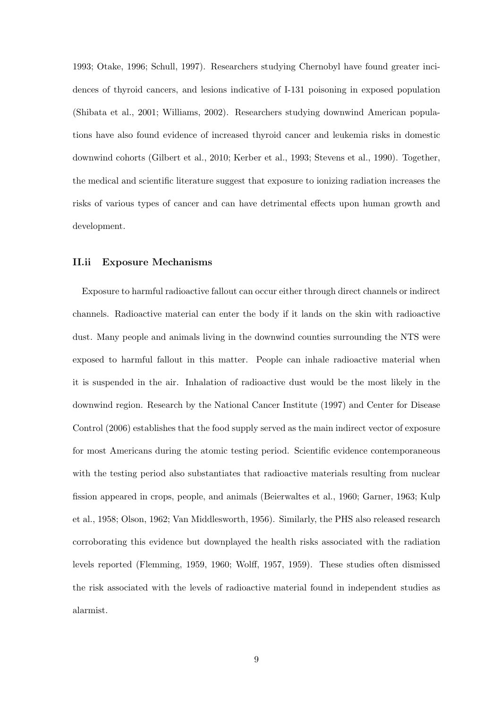1993; Otake, 1996; Schull, 1997). Researchers studying Chernobyl have found greater incidences of thyroid cancers, and lesions indicative of I-131 poisoning in exposed population (Shibata et al., 2001; Williams, 2002). Researchers studying downwind American populations have also found evidence of increased thyroid cancer and leukemia risks in domestic downwind cohorts (Gilbert et al., 2010; Kerber et al., 1993; Stevens et al., 1990). Together, the medical and scientific literature suggest that exposure to ionizing radiation increases the risks of various types of cancer and can have detrimental effects upon human growth and development.

#### II.ii Exposure Mechanisms

Exposure to harmful radioactive fallout can occur either through direct channels or indirect channels. Radioactive material can enter the body if it lands on the skin with radioactive dust. Many people and animals living in the downwind counties surrounding the NTS were exposed to harmful fallout in this matter. People can inhale radioactive material when it is suspended in the air. Inhalation of radioactive dust would be the most likely in the downwind region. Research by the National Cancer Institute (1997) and Center for Disease Control (2006) establishes that the food supply served as the main indirect vector of exposure for most Americans during the atomic testing period. Scientific evidence contemporaneous with the testing period also substantiates that radioactive materials resulting from nuclear fission appeared in crops, people, and animals (Beierwaltes et al., 1960; Garner, 1963; Kulp et al., 1958; Olson, 1962; Van Middlesworth, 1956). Similarly, the PHS also released research corroborating this evidence but downplayed the health risks associated with the radiation levels reported (Flemming, 1959, 1960; Wolff, 1957, 1959). These studies often dismissed the risk associated with the levels of radioactive material found in independent studies as alarmist.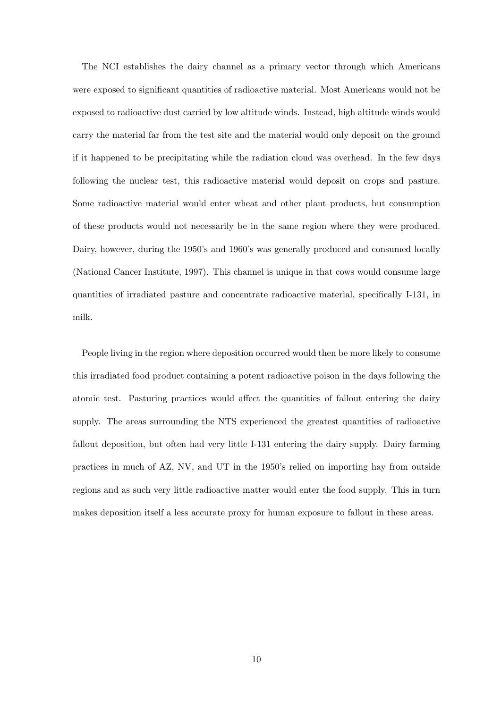The NCI establishes the dairy channel as a primary vector through which Americans were exposed to significant quantities of radioactive material. Most Americans would not be exposed to radioactive dust carried by low altitude winds. Instead, high altitude winds would carry the material far from the test site and the material would only deposit on the ground if it happened to be precipitating while the radiation cloud was overhead. In the few days following the nuclear test, this radioactive material would deposit on crops and pasture. Some radioactive material would enter wheat and other plant products, but consumption of these products would not necessarily be in the same region where they were produced. Dairy, however, during the 1950's and 1960's was generally produced and consumed locally (National Cancer Institute, 1997). This channel is unique in that cows would consume large quantities of irradiated pasture and concentrate radioactive material, specifically I-131, in milk.

People living in the region where deposition occurred would then be more likely to consume this irradiated food product containing a potent radioactive poison in the days following the atomic test. Pasturing practices would affect the quantities of fallout entering the dairy supply. The areas surrounding the NTS experienced the greatest quantities of radioactive fallout deposition, but often had very little I-131 entering the dairy supply. Dairy farming practices in much of AZ, NV, and UT in the 1950's relied on importing hay from outside regions and as such very little radioactive matter would enter the food supply. This in turn makes deposition itself a less accurate proxy for human exposure to fallout in these areas.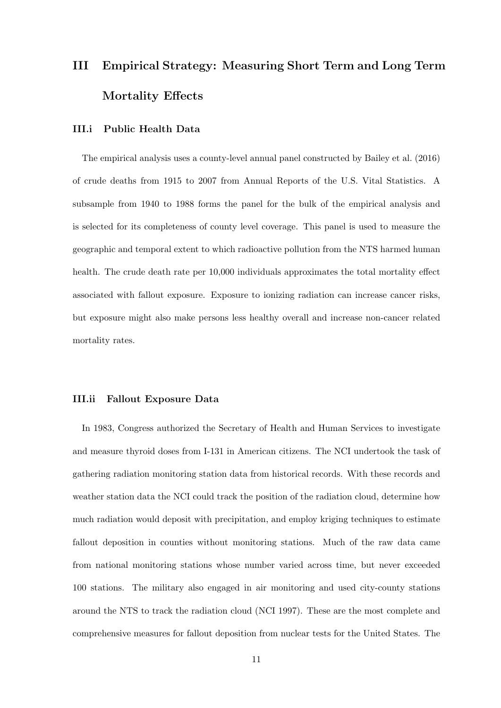# III Empirical Strategy: Measuring Short Term and Long Term Mortality Effects

#### III.i Public Health Data

The empirical analysis uses a county-level annual panel constructed by Bailey et al. (2016) of crude deaths from 1915 to 2007 from Annual Reports of the U.S. Vital Statistics. A subsample from 1940 to 1988 forms the panel for the bulk of the empirical analysis and is selected for its completeness of county level coverage. This panel is used to measure the geographic and temporal extent to which radioactive pollution from the NTS harmed human health. The crude death rate per 10,000 individuals approximates the total mortality effect associated with fallout exposure. Exposure to ionizing radiation can increase cancer risks, but exposure might also make persons less healthy overall and increase non-cancer related mortality rates.

#### III.ii Fallout Exposure Data

In 1983, Congress authorized the Secretary of Health and Human Services to investigate and measure thyroid doses from I-131 in American citizens. The NCI undertook the task of gathering radiation monitoring station data from historical records. With these records and weather station data the NCI could track the position of the radiation cloud, determine how much radiation would deposit with precipitation, and employ kriging techniques to estimate fallout deposition in counties without monitoring stations. Much of the raw data came from national monitoring stations whose number varied across time, but never exceeded 100 stations. The military also engaged in air monitoring and used city-county stations around the NTS to track the radiation cloud (NCI 1997). These are the most complete and comprehensive measures for fallout deposition from nuclear tests for the United States. The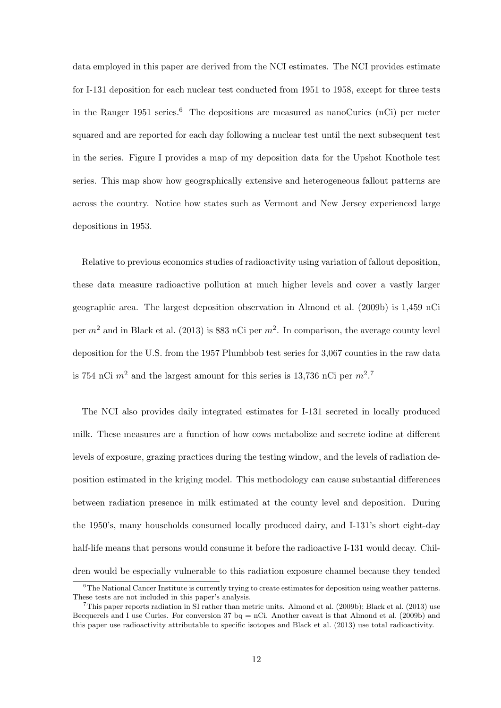data employed in this paper are derived from the NCI estimates. The NCI provides estimate for I-131 deposition for each nuclear test conducted from 1951 to 1958, except for three tests in the Ranger 1951 series.<sup>6</sup> The depositions are measured as nanoCuries (nCi) per meter squared and are reported for each day following a nuclear test until the next subsequent test in the series. Figure I provides a map of my deposition data for the Upshot Knothole test series. This map show how geographically extensive and heterogeneous fallout patterns are across the country. Notice how states such as Vermont and New Jersey experienced large depositions in 1953.

Relative to previous economics studies of radioactivity using variation of fallout deposition, these data measure radioactive pollution at much higher levels and cover a vastly larger geographic area. The largest deposition observation in Almond et al. (2009b) is 1,459 nCi per  $m^2$  and in Black et al. (2013) is 883 nCi per  $m^2$ . In comparison, the average county level deposition for the U.S. from the 1957 Plumbbob test series for 3,067 counties in the raw data is 754 nCi  $m^2$  and the largest amount for this series is 13,736 nCi per  $m^2$ .<sup>7</sup>

The NCI also provides daily integrated estimates for I-131 secreted in locally produced milk. These measures are a function of how cows metabolize and secrete iodine at different levels of exposure, grazing practices during the testing window, and the levels of radiation deposition estimated in the kriging model. This methodology can cause substantial differences between radiation presence in milk estimated at the county level and deposition. During the 1950's, many households consumed locally produced dairy, and I-131's short eight-day half-life means that persons would consume it before the radioactive I-131 would decay. Children would be especially vulnerable to this radiation exposure channel because they tended

<sup>&</sup>lt;sup>6</sup>The National Cancer Institute is currently trying to create estimates for deposition using weather patterns. These tests are not included in this paper's analysis.

<sup>7</sup>This paper reports radiation in SI rather than metric units. Almond et al. (2009b); Black et al. (2013) use Becquerels and I use Curies. For conversion 37  $bq = nCi$ . Another caveat is that Almond et al. (2009b) and this paper use radioactivity attributable to specific isotopes and Black et al. (2013) use total radioactivity.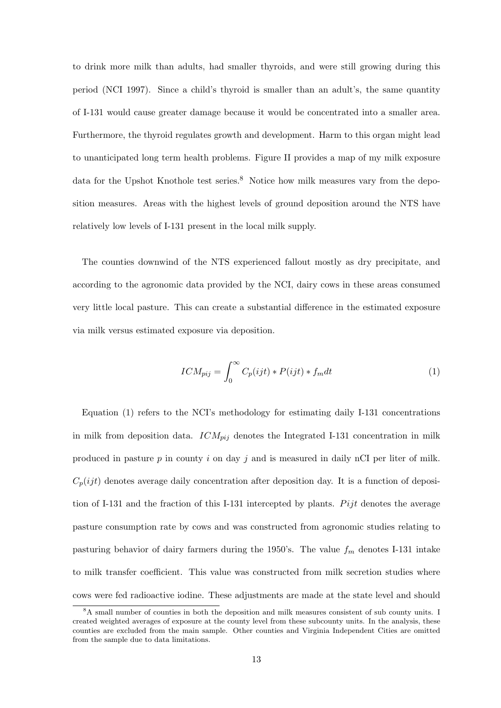to drink more milk than adults, had smaller thyroids, and were still growing during this period (NCI 1997). Since a child's thyroid is smaller than an adult's, the same quantity of I-131 would cause greater damage because it would be concentrated into a smaller area. Furthermore, the thyroid regulates growth and development. Harm to this organ might lead to unanticipated long term health problems. Figure II provides a map of my milk exposure data for the Upshot Knothole test series.<sup>8</sup> Notice how milk measures vary from the deposition measures. Areas with the highest levels of ground deposition around the NTS have relatively low levels of I-131 present in the local milk supply.

The counties downwind of the NTS experienced fallout mostly as dry precipitate, and according to the agronomic data provided by the NCI, dairy cows in these areas consumed very little local pasture. This can create a substantial difference in the estimated exposure via milk versus estimated exposure via deposition.

$$
ICM_{pij} = \int_0^\infty C_p(ijt) * P(ijt) * f_m dt
$$
 (1)

Equation (1) refers to the NCI's methodology for estimating daily I-131 concentrations in milk from deposition data.  $ICM_{pij}$  denotes the Integrated I-131 concentration in milk produced in pasture  $p$  in county  $i$  on day  $j$  and is measured in daily nCI per liter of milk.  $C_p(ijt)$  denotes average daily concentration after deposition day. It is a function of deposition of I-131 and the fraction of this I-131 intercepted by plants. Pijt denotes the average pasture consumption rate by cows and was constructed from agronomic studies relating to pasturing behavior of dairy farmers during the 1950's. The value  $f_m$  denotes I-131 intake to milk transfer coefficient. This value was constructed from milk secretion studies where cows were fed radioactive iodine. These adjustments are made at the state level and should

<sup>&</sup>lt;sup>8</sup>A small number of counties in both the deposition and milk measures consistent of sub county units. I created weighted averages of exposure at the county level from these subcounty units. In the analysis, these counties are excluded from the main sample. Other counties and Virginia Independent Cities are omitted from the sample due to data limitations.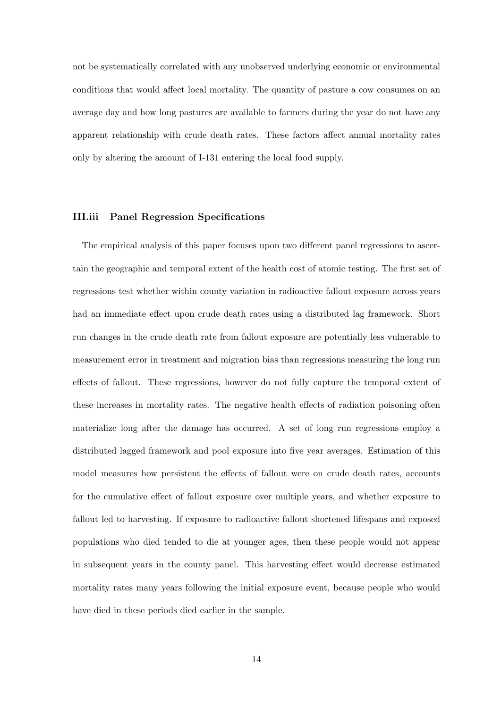not be systematically correlated with any unobserved underlying economic or environmental conditions that would affect local mortality. The quantity of pasture a cow consumes on an average day and how long pastures are available to farmers during the year do not have any apparent relationship with crude death rates. These factors affect annual mortality rates only by altering the amount of I-131 entering the local food supply.

#### III.iii Panel Regression Specifications

The empirical analysis of this paper focuses upon two different panel regressions to ascertain the geographic and temporal extent of the health cost of atomic testing. The first set of regressions test whether within county variation in radioactive fallout exposure across years had an immediate effect upon crude death rates using a distributed lag framework. Short run changes in the crude death rate from fallout exposure are potentially less vulnerable to measurement error in treatment and migration bias than regressions measuring the long run effects of fallout. These regressions, however do not fully capture the temporal extent of these increases in mortality rates. The negative health effects of radiation poisoning often materialize long after the damage has occurred. A set of long run regressions employ a distributed lagged framework and pool exposure into five year averages. Estimation of this model measures how persistent the effects of fallout were on crude death rates, accounts for the cumulative effect of fallout exposure over multiple years, and whether exposure to fallout led to harvesting. If exposure to radioactive fallout shortened lifespans and exposed populations who died tended to die at younger ages, then these people would not appear in subsequent years in the county panel. This harvesting effect would decrease estimated mortality rates many years following the initial exposure event, because people who would have died in these periods died earlier in the sample.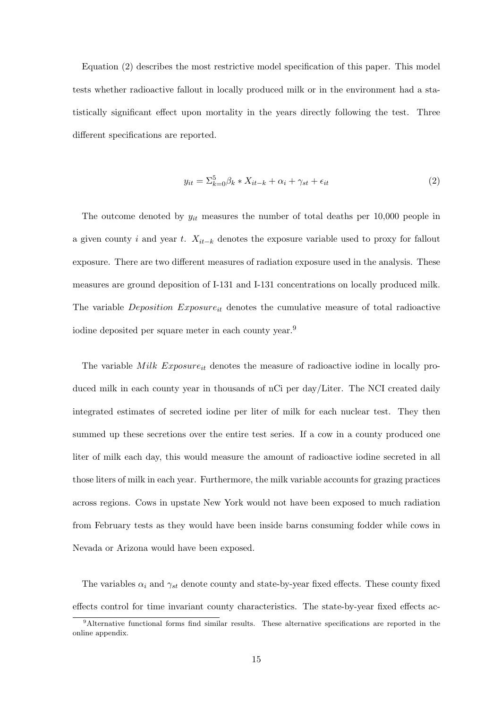Equation (2) describes the most restrictive model specification of this paper. This model tests whether radioactive fallout in locally produced milk or in the environment had a statistically significant effect upon mortality in the years directly following the test. Three different specifications are reported.

$$
y_{it} = \sum_{k=0}^{5} \beta_k * X_{it-k} + \alpha_i + \gamma_{st} + \epsilon_{it}
$$
\n<sup>(2)</sup>

The outcome denoted by  $y_{it}$  measures the number of total deaths per 10,000 people in a given county i and year t.  $X_{it-k}$  denotes the exposure variable used to proxy for fallout exposure. There are two different measures of radiation exposure used in the analysis. These measures are ground deposition of I-131 and I-131 concentrations on locally produced milk. The variable *Deposition Exposure*<sub>it</sub> denotes the cumulative measure of total radioactive iodine deposited per square meter in each county year.<sup>9</sup>

The variable  $Milk$  Exposure<sub>it</sub> denotes the measure of radioactive iodine in locally produced milk in each county year in thousands of nCi per day/Liter. The NCI created daily integrated estimates of secreted iodine per liter of milk for each nuclear test. They then summed up these secretions over the entire test series. If a cow in a county produced one liter of milk each day, this would measure the amount of radioactive iodine secreted in all those liters of milk in each year. Furthermore, the milk variable accounts for grazing practices across regions. Cows in upstate New York would not have been exposed to much radiation from February tests as they would have been inside barns consuming fodder while cows in Nevada or Arizona would have been exposed.

The variables  $\alpha_i$  and  $\gamma_{st}$  denote county and state-by-year fixed effects. These county fixed effects control for time invariant county characteristics. The state-by-year fixed effects ac-

<sup>9</sup>Alternative functional forms find similar results. These alternative specifications are reported in the online appendix.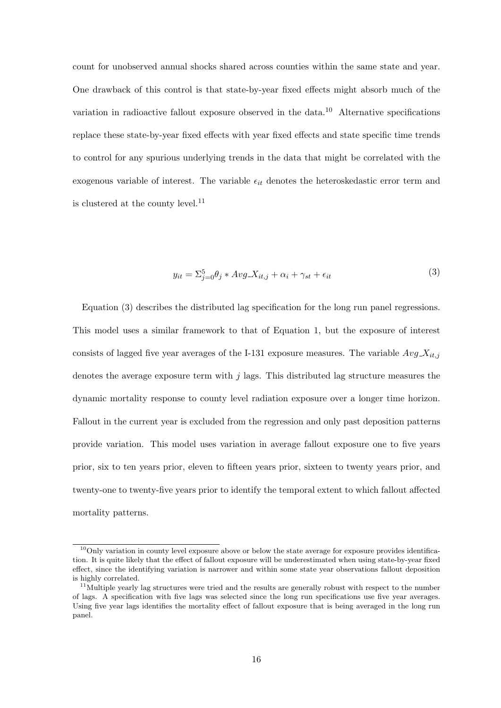count for unobserved annual shocks shared across counties within the same state and year. One drawback of this control is that state-by-year fixed effects might absorb much of the variation in radioactive fallout exposure observed in the data.<sup>10</sup> Alternative specifications replace these state-by-year fixed effects with year fixed effects and state specific time trends to control for any spurious underlying trends in the data that might be correlated with the exogenous variable of interest. The variable  $\epsilon_{it}$  denotes the heteroskedastic error term and is clustered at the county level.<sup>11</sup>

$$
y_{it} = \sum_{j=0}^{5} \theta_j * Avg \ X_{it,j} + \alpha_i + \gamma_{st} + \epsilon_{it}
$$
\n
$$
\tag{3}
$$

Equation (3) describes the distributed lag specification for the long run panel regressions. This model uses a similar framework to that of Equation 1, but the exposure of interest consists of lagged five year averages of the I-131 exposure measures. The variable  $Avg \, X_{it,j}$ denotes the average exposure term with  $j$  lags. This distributed lag structure measures the dynamic mortality response to county level radiation exposure over a longer time horizon. Fallout in the current year is excluded from the regression and only past deposition patterns provide variation. This model uses variation in average fallout exposure one to five years prior, six to ten years prior, eleven to fifteen years prior, sixteen to twenty years prior, and twenty-one to twenty-five years prior to identify the temporal extent to which fallout affected mortality patterns.

<sup>&</sup>lt;sup>10</sup>Only variation in county level exposure above or below the state average for exposure provides identification. It is quite likely that the effect of fallout exposure will be underestimated when using state-by-year fixed effect, since the identifying variation is narrower and within some state year observations fallout deposition is highly correlated.

<sup>&</sup>lt;sup>11</sup>Multiple yearly lag structures were tried and the results are generally robust with respect to the number of lags. A specification with five lags was selected since the long run specifications use five year averages. Using five year lags identifies the mortality effect of fallout exposure that is being averaged in the long run panel.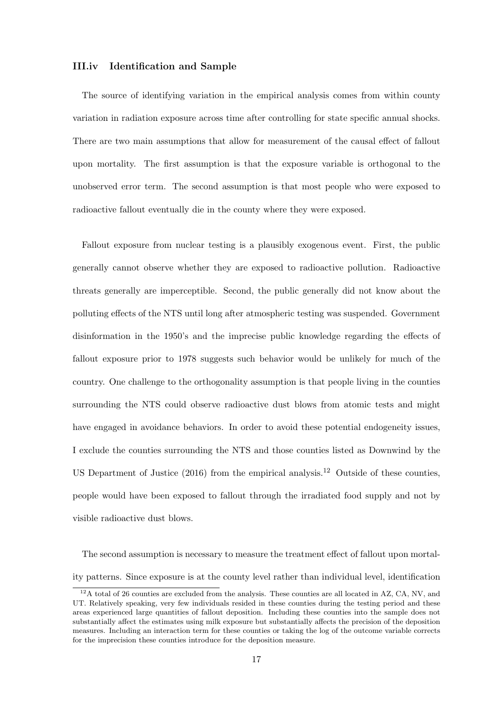#### III.iv Identification and Sample

The source of identifying variation in the empirical analysis comes from within county variation in radiation exposure across time after controlling for state specific annual shocks. There are two main assumptions that allow for measurement of the causal effect of fallout upon mortality. The first assumption is that the exposure variable is orthogonal to the unobserved error term. The second assumption is that most people who were exposed to radioactive fallout eventually die in the county where they were exposed.

Fallout exposure from nuclear testing is a plausibly exogenous event. First, the public generally cannot observe whether they are exposed to radioactive pollution. Radioactive threats generally are imperceptible. Second, the public generally did not know about the polluting effects of the NTS until long after atmospheric testing was suspended. Government disinformation in the 1950's and the imprecise public knowledge regarding the effects of fallout exposure prior to 1978 suggests such behavior would be unlikely for much of the country. One challenge to the orthogonality assumption is that people living in the counties surrounding the NTS could observe radioactive dust blows from atomic tests and might have engaged in avoidance behaviors. In order to avoid these potential endogeneity issues, I exclude the counties surrounding the NTS and those counties listed as Downwind by the US Department of Justice  $(2016)$  from the empirical analysis.<sup>12</sup> Outside of these counties, people would have been exposed to fallout through the irradiated food supply and not by visible radioactive dust blows.

The second assumption is necessary to measure the treatment effect of fallout upon mortality patterns. Since exposure is at the county level rather than individual level, identification

 $12A$  total of 26 counties are excluded from the analysis. These counties are all located in AZ, CA, NV, and UT. Relatively speaking, very few individuals resided in these counties during the testing period and these areas experienced large quantities of fallout deposition. Including these counties into the sample does not substantially affect the estimates using milk exposure but substantially affects the precision of the deposition measures. Including an interaction term for these counties or taking the log of the outcome variable corrects for the imprecision these counties introduce for the deposition measure.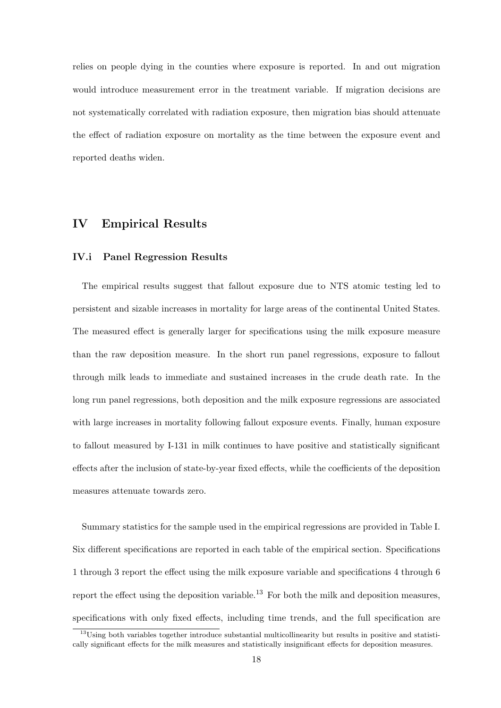relies on people dying in the counties where exposure is reported. In and out migration would introduce measurement error in the treatment variable. If migration decisions are not systematically correlated with radiation exposure, then migration bias should attenuate the effect of radiation exposure on mortality as the time between the exposure event and reported deaths widen.

#### IV Empirical Results

#### IV.i Panel Regression Results

The empirical results suggest that fallout exposure due to NTS atomic testing led to persistent and sizable increases in mortality for large areas of the continental United States. The measured effect is generally larger for specifications using the milk exposure measure than the raw deposition measure. In the short run panel regressions, exposure to fallout through milk leads to immediate and sustained increases in the crude death rate. In the long run panel regressions, both deposition and the milk exposure regressions are associated with large increases in mortality following fallout exposure events. Finally, human exposure to fallout measured by I-131 in milk continues to have positive and statistically significant effects after the inclusion of state-by-year fixed effects, while the coefficients of the deposition measures attenuate towards zero.

Summary statistics for the sample used in the empirical regressions are provided in Table I. Six different specifications are reported in each table of the empirical section. Specifications 1 through 3 report the effect using the milk exposure variable and specifications 4 through 6 report the effect using the deposition variable.<sup>13</sup> For both the milk and deposition measures, specifications with only fixed effects, including time trends, and the full specification are

<sup>&</sup>lt;sup>13</sup>Using both variables together introduce substantial multicollinearity but results in positive and statistically significant effects for the milk measures and statistically insignificant effects for deposition measures.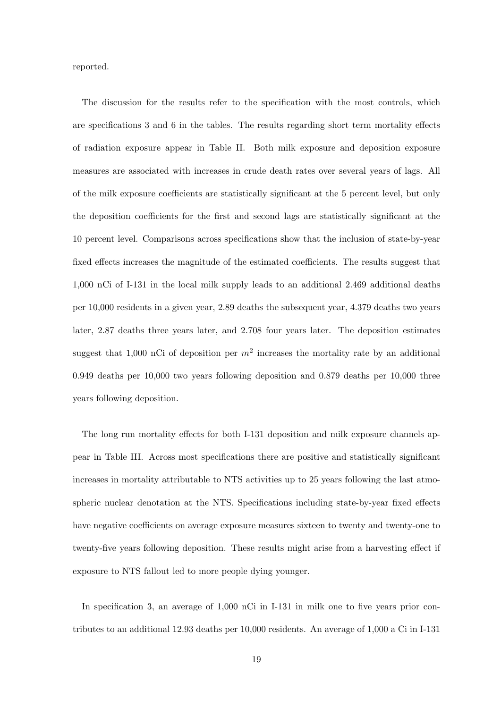reported.

The discussion for the results refer to the specification with the most controls, which are specifications 3 and 6 in the tables. The results regarding short term mortality effects of radiation exposure appear in Table II. Both milk exposure and deposition exposure measures are associated with increases in crude death rates over several years of lags. All of the milk exposure coefficients are statistically significant at the 5 percent level, but only the deposition coefficients for the first and second lags are statistically significant at the 10 percent level. Comparisons across specifications show that the inclusion of state-by-year fixed effects increases the magnitude of the estimated coefficients. The results suggest that 1,000 nCi of I-131 in the local milk supply leads to an additional 2.469 additional deaths per 10,000 residents in a given year, 2.89 deaths the subsequent year, 4.379 deaths two years later, 2.87 deaths three years later, and 2.708 four years later. The deposition estimates suggest that 1,000 nCi of deposition per  $m^2$  increases the mortality rate by an additional 0.949 deaths per 10,000 two years following deposition and 0.879 deaths per 10,000 three years following deposition.

The long run mortality effects for both I-131 deposition and milk exposure channels appear in Table III. Across most specifications there are positive and statistically significant increases in mortality attributable to NTS activities up to 25 years following the last atmospheric nuclear denotation at the NTS. Specifications including state-by-year fixed effects have negative coefficients on average exposure measures sixteen to twenty and twenty-one to twenty-five years following deposition. These results might arise from a harvesting effect if exposure to NTS fallout led to more people dying younger.

In specification 3, an average of 1,000 nCi in I-131 in milk one to five years prior contributes to an additional 12.93 deaths per 10,000 residents. An average of 1,000 a Ci in I-131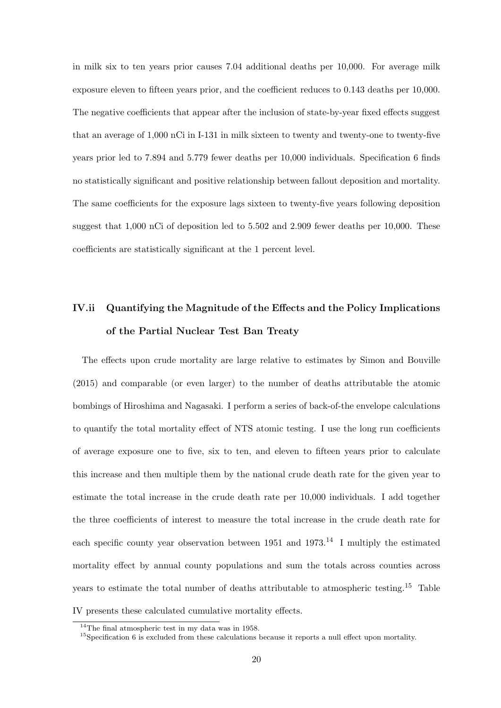in milk six to ten years prior causes 7.04 additional deaths per 10,000. For average milk exposure eleven to fifteen years prior, and the coefficient reduces to 0.143 deaths per 10,000. The negative coefficients that appear after the inclusion of state-by-year fixed effects suggest that an average of 1,000 nCi in I-131 in milk sixteen to twenty and twenty-one to twenty-five years prior led to 7.894 and 5.779 fewer deaths per 10,000 individuals. Specification 6 finds no statistically significant and positive relationship between fallout deposition and mortality. The same coefficients for the exposure lags sixteen to twenty-five years following deposition suggest that 1,000 nCi of deposition led to 5.502 and 2.909 fewer deaths per 10,000. These coefficients are statistically significant at the 1 percent level.

# IV.ii Quantifying the Magnitude of the Effects and the Policy Implications of the Partial Nuclear Test Ban Treaty

The effects upon crude mortality are large relative to estimates by Simon and Bouville (2015) and comparable (or even larger) to the number of deaths attributable the atomic bombings of Hiroshima and Nagasaki. I perform a series of back-of-the envelope calculations to quantify the total mortality effect of NTS atomic testing. I use the long run coefficients of average exposure one to five, six to ten, and eleven to fifteen years prior to calculate this increase and then multiple them by the national crude death rate for the given year to estimate the total increase in the crude death rate per 10,000 individuals. I add together the three coefficients of interest to measure the total increase in the crude death rate for each specific county year observation between  $1951$  and  $1973<sup>14</sup>$  I multiply the estimated mortality effect by annual county populations and sum the totals across counties across years to estimate the total number of deaths attributable to atmospheric testing.<sup>15</sup> Table IV presents these calculated cumulative mortality effects.

 $14$ The final atmospheric test in my data was in 1958.

<sup>&</sup>lt;sup>15</sup>Specification 6 is excluded from these calculations because it reports a null effect upon mortality.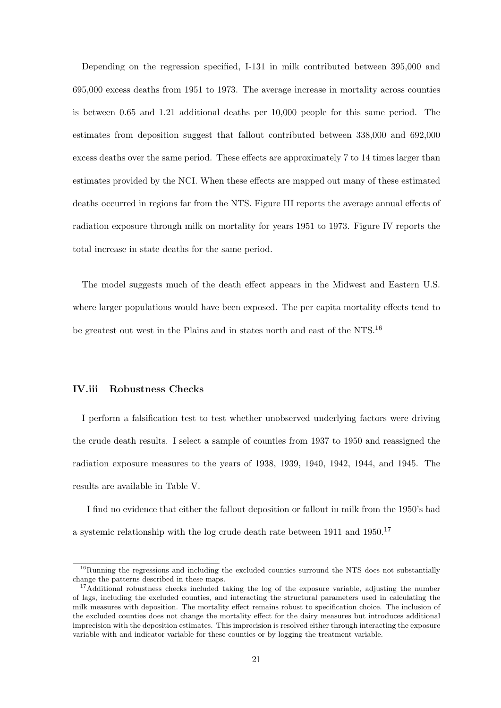Depending on the regression specified, I-131 in milk contributed between 395,000 and 695,000 excess deaths from 1951 to 1973. The average increase in mortality across counties is between 0.65 and 1.21 additional deaths per 10,000 people for this same period. The estimates from deposition suggest that fallout contributed between 338,000 and 692,000 excess deaths over the same period. These effects are approximately 7 to 14 times larger than estimates provided by the NCI. When these effects are mapped out many of these estimated deaths occurred in regions far from the NTS. Figure III reports the average annual effects of radiation exposure through milk on mortality for years 1951 to 1973. Figure IV reports the total increase in state deaths for the same period.

The model suggests much of the death effect appears in the Midwest and Eastern U.S. where larger populations would have been exposed. The per capita mortality effects tend to be greatest out west in the Plains and in states north and east of the NTS.<sup>16</sup>

#### IV.iii Robustness Checks

I perform a falsification test to test whether unobserved underlying factors were driving the crude death results. I select a sample of counties from 1937 to 1950 and reassigned the radiation exposure measures to the years of 1938, 1939, 1940, 1942, 1944, and 1945. The results are available in Table V.

I find no evidence that either the fallout deposition or fallout in milk from the 1950's had a systemic relationship with the log crude death rate between 1911 and 1950.<sup>17</sup>

<sup>&</sup>lt;sup>16</sup>Running the regressions and including the excluded counties surround the NTS does not substantially change the patterns described in these maps.

<sup>&</sup>lt;sup>17</sup>Additional robustness checks included taking the log of the exposure variable, adjusting the number of lags, including the excluded counties, and interacting the structural parameters used in calculating the milk measures with deposition. The mortality effect remains robust to specification choice. The inclusion of the excluded counties does not change the mortality effect for the dairy measures but introduces additional imprecision with the deposition estimates. This imprecision is resolved either through interacting the exposure variable with and indicator variable for these counties or by logging the treatment variable.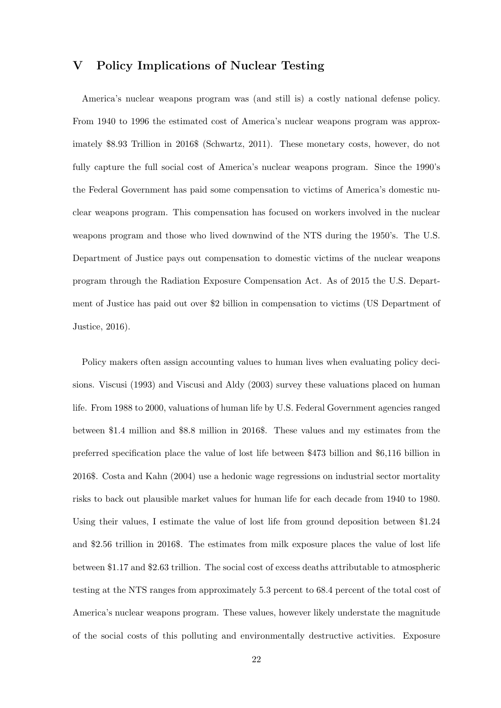#### V Policy Implications of Nuclear Testing

America's nuclear weapons program was (and still is) a costly national defense policy. From 1940 to 1996 the estimated cost of America's nuclear weapons program was approximately \$8.93 Trillion in 2016\$ (Schwartz, 2011). These monetary costs, however, do not fully capture the full social cost of America's nuclear weapons program. Since the 1990's the Federal Government has paid some compensation to victims of America's domestic nuclear weapons program. This compensation has focused on workers involved in the nuclear weapons program and those who lived downwind of the NTS during the 1950's. The U.S. Department of Justice pays out compensation to domestic victims of the nuclear weapons program through the Radiation Exposure Compensation Act. As of 2015 the U.S. Department of Justice has paid out over \$2 billion in compensation to victims (US Department of Justice, 2016).

Policy makers often assign accounting values to human lives when evaluating policy decisions. Viscusi (1993) and Viscusi and Aldy (2003) survey these valuations placed on human life. From 1988 to 2000, valuations of human life by U.S. Federal Government agencies ranged between \$1.4 million and \$8.8 million in 2016\$. These values and my estimates from the preferred specification place the value of lost life between \$473 billion and \$6,116 billion in 2016\$. Costa and Kahn (2004) use a hedonic wage regressions on industrial sector mortality risks to back out plausible market values for human life for each decade from 1940 to 1980. Using their values, I estimate the value of lost life from ground deposition between \$1.24 and \$2.56 trillion in 2016\$. The estimates from milk exposure places the value of lost life between \$1.17 and \$2.63 trillion. The social cost of excess deaths attributable to atmospheric testing at the NTS ranges from approximately 5.3 percent to 68.4 percent of the total cost of America's nuclear weapons program. These values, however likely understate the magnitude of the social costs of this polluting and environmentally destructive activities. Exposure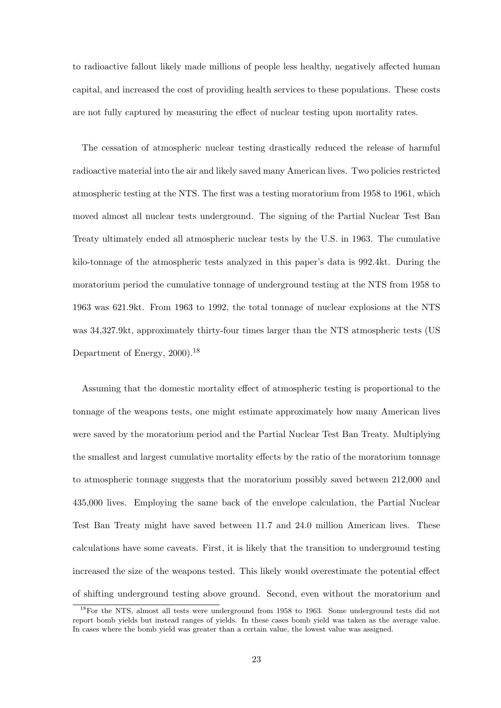to radioactive fallout likely made millions of people less healthy, negatively affected human capital, and increased the cost of providing health services to these populations. These costs are not fully captured by measuring the effect of nuclear testing upon mortality rates.

The cessation of atmospheric nuclear testing drastically reduced the release of harmful radioactive material into the air and likely saved many American lives. Two policies restricted atmospheric testing at the NTS. The first was a testing moratorium from 1958 to 1961, which moved almost all nuclear tests underground. The signing of the Partial Nuclear Test Ban Treaty ultimately ended all atmospheric nuclear tests by the U.S. in 1963. The cumulative kilo-tonnage of the atmospheric tests analyzed in this paper's data is 992.4kt. During the moratorium period the cumulative tonnage of underground testing at the NTS from 1958 to 1963 was 621.9kt. From 1963 to 1992, the total tonnage of nuclear explosions at the NTS was 34,327.9kt, approximately thirty-four times larger than the NTS atmospheric tests (US Department of Energy, 2000).<sup>18</sup>

Assuming that the domestic mortality effect of atmospheric testing is proportional to the tonnage of the weapons tests, one might estimate approximately how many American lives were saved by the moratorium period and the Partial Nuclear Test Ban Treaty. Multiplying the smallest and largest cumulative mortality effects by the ratio of the moratorium tonnage to atmospheric tonnage suggests that the moratorium possibly saved between 212,000 and 435,000 lives. Employing the same back of the envelope calculation, the Partial Nuclear Test Ban Treaty might have saved between 11.7 and 24.0 million American lives. These calculations have some caveats. First, it is likely that the transition to underground testing increased the size of the weapons tested. This likely would overestimate the potential effect of shifting underground testing above ground. Second, even without the moratorium and

<sup>18</sup>For the NTS, almost all tests were underground from 1958 to 1963. Some underground tests did not report bomb yields but instead ranges of yields. In these cases bomb yield was taken as the average value. In cases where the bomb yield was greater than a certain value, the lowest value was assigned.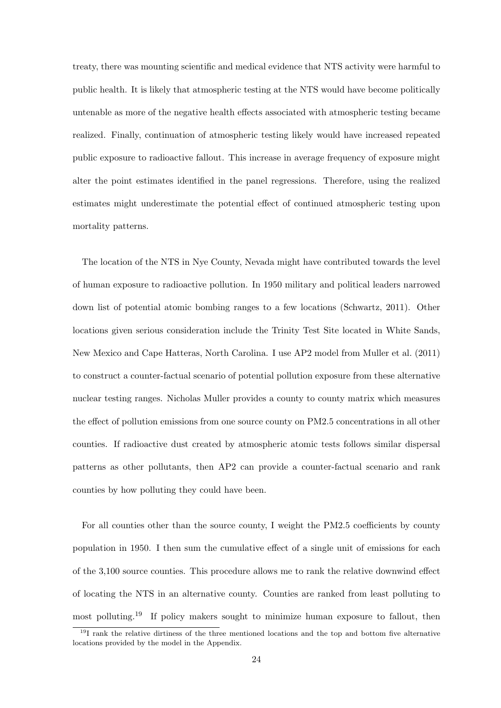treaty, there was mounting scientific and medical evidence that NTS activity were harmful to public health. It is likely that atmospheric testing at the NTS would have become politically untenable as more of the negative health effects associated with atmospheric testing became realized. Finally, continuation of atmospheric testing likely would have increased repeated public exposure to radioactive fallout. This increase in average frequency of exposure might alter the point estimates identified in the panel regressions. Therefore, using the realized estimates might underestimate the potential effect of continued atmospheric testing upon mortality patterns.

The location of the NTS in Nye County, Nevada might have contributed towards the level of human exposure to radioactive pollution. In 1950 military and political leaders narrowed down list of potential atomic bombing ranges to a few locations (Schwartz, 2011). Other locations given serious consideration include the Trinity Test Site located in White Sands, New Mexico and Cape Hatteras, North Carolina. I use AP2 model from Muller et al. (2011) to construct a counter-factual scenario of potential pollution exposure from these alternative nuclear testing ranges. Nicholas Muller provides a county to county matrix which measures the effect of pollution emissions from one source county on PM2.5 concentrations in all other counties. If radioactive dust created by atmospheric atomic tests follows similar dispersal patterns as other pollutants, then AP2 can provide a counter-factual scenario and rank counties by how polluting they could have been.

For all counties other than the source county, I weight the PM2.5 coefficients by county population in 1950. I then sum the cumulative effect of a single unit of emissions for each of the 3,100 source counties. This procedure allows me to rank the relative downwind effect of locating the NTS in an alternative county. Counties are ranked from least polluting to most polluting.<sup>19</sup> If policy makers sought to minimize human exposure to fallout, then

<sup>19</sup>I rank the relative dirtiness of the three mentioned locations and the top and bottom five alternative locations provided by the model in the Appendix.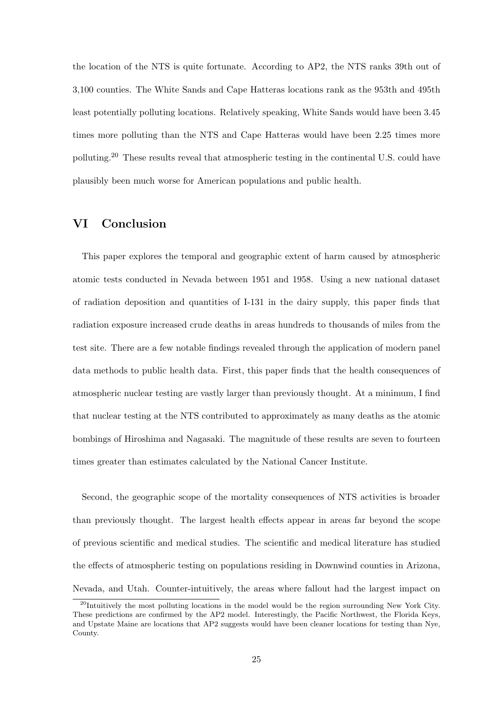the location of the NTS is quite fortunate. According to AP2, the NTS ranks 39th out of 3,100 counties. The White Sands and Cape Hatteras locations rank as the 953th and 495th least potentially polluting locations. Relatively speaking, White Sands would have been 3.45 times more polluting than the NTS and Cape Hatteras would have been 2.25 times more polluting.<sup>20</sup> These results reveal that atmospheric testing in the continental U.S. could have plausibly been much worse for American populations and public health.

#### VI Conclusion

This paper explores the temporal and geographic extent of harm caused by atmospheric atomic tests conducted in Nevada between 1951 and 1958. Using a new national dataset of radiation deposition and quantities of I-131 in the dairy supply, this paper finds that radiation exposure increased crude deaths in areas hundreds to thousands of miles from the test site. There are a few notable findings revealed through the application of modern panel data methods to public health data. First, this paper finds that the health consequences of atmospheric nuclear testing are vastly larger than previously thought. At a minimum, I find that nuclear testing at the NTS contributed to approximately as many deaths as the atomic bombings of Hiroshima and Nagasaki. The magnitude of these results are seven to fourteen times greater than estimates calculated by the National Cancer Institute.

Second, the geographic scope of the mortality consequences of NTS activities is broader than previously thought. The largest health effects appear in areas far beyond the scope of previous scientific and medical studies. The scientific and medical literature has studied the effects of atmospheric testing on populations residing in Downwind counties in Arizona, Nevada, and Utah. Counter-intuitively, the areas where fallout had the largest impact on

<sup>&</sup>lt;sup>20</sup>Intuitively the most polluting locations in the model would be the region surrounding New York City. These predictions are confirmed by the AP2 model. Interestingly, the Pacific Northwest, the Florida Keys, and Upstate Maine are locations that AP2 suggests would have been cleaner locations for testing than Nye, County.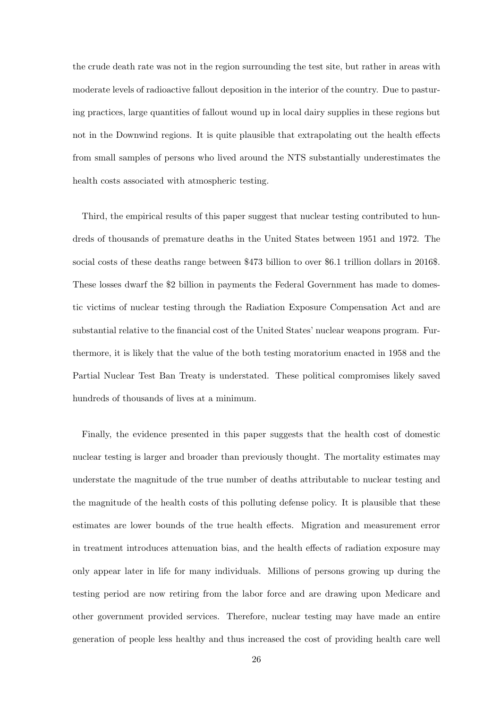the crude death rate was not in the region surrounding the test site, but rather in areas with moderate levels of radioactive fallout deposition in the interior of the country. Due to pasturing practices, large quantities of fallout wound up in local dairy supplies in these regions but not in the Downwind regions. It is quite plausible that extrapolating out the health effects from small samples of persons who lived around the NTS substantially underestimates the health costs associated with atmospheric testing.

Third, the empirical results of this paper suggest that nuclear testing contributed to hundreds of thousands of premature deaths in the United States between 1951 and 1972. The social costs of these deaths range between \$473 billion to over \$6.1 trillion dollars in 2016\$. These losses dwarf the \$2 billion in payments the Federal Government has made to domestic victims of nuclear testing through the Radiation Exposure Compensation Act and are substantial relative to the financial cost of the United States' nuclear weapons program. Furthermore, it is likely that the value of the both testing moratorium enacted in 1958 and the Partial Nuclear Test Ban Treaty is understated. These political compromises likely saved hundreds of thousands of lives at a minimum.

Finally, the evidence presented in this paper suggests that the health cost of domestic nuclear testing is larger and broader than previously thought. The mortality estimates may understate the magnitude of the true number of deaths attributable to nuclear testing and the magnitude of the health costs of this polluting defense policy. It is plausible that these estimates are lower bounds of the true health effects. Migration and measurement error in treatment introduces attenuation bias, and the health effects of radiation exposure may only appear later in life for many individuals. Millions of persons growing up during the testing period are now retiring from the labor force and are drawing upon Medicare and other government provided services. Therefore, nuclear testing may have made an entire generation of people less healthy and thus increased the cost of providing health care well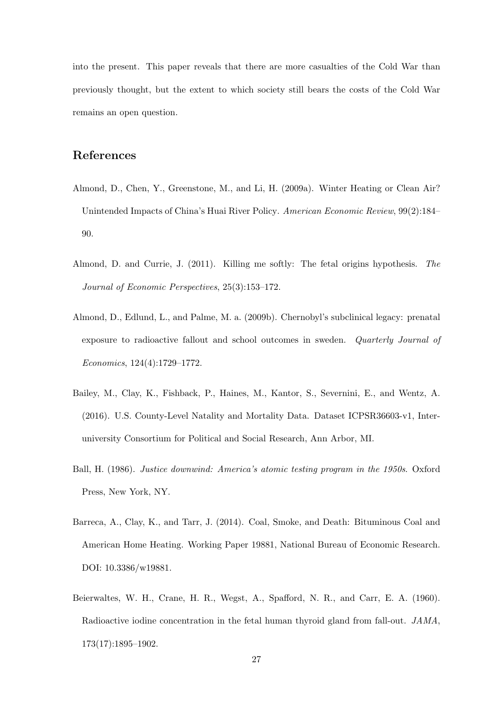into the present. This paper reveals that there are more casualties of the Cold War than previously thought, but the extent to which society still bears the costs of the Cold War remains an open question.

#### References

- Almond, D., Chen, Y., Greenstone, M., and Li, H. (2009a). Winter Heating or Clean Air? Unintended Impacts of China's Huai River Policy. *American Economic Review*, 99(2):184– 90.
- Almond, D. and Currie, J. (2011). Killing me softly: The fetal origins hypothesis. *The Journal of Economic Perspectives*, 25(3):153–172.
- Almond, D., Edlund, L., and Palme, M. a. (2009b). Chernobyl's subclinical legacy: prenatal exposure to radioactive fallout and school outcomes in sweden. *Quarterly Journal of Economics*, 124(4):1729–1772.
- Bailey, M., Clay, K., Fishback, P., Haines, M., Kantor, S., Severnini, E., and Wentz, A. (2016). U.S. County-Level Natality and Mortality Data. Dataset ICPSR36603-v1, Interuniversity Consortium for Political and Social Research, Ann Arbor, MI.
- Ball, H. (1986). *Justice downwind: America's atomic testing program in the 1950s*. Oxford Press, New York, NY.
- Barreca, A., Clay, K., and Tarr, J. (2014). Coal, Smoke, and Death: Bituminous Coal and American Home Heating. Working Paper 19881, National Bureau of Economic Research. DOI: 10.3386/w19881.
- Beierwaltes, W. H., Crane, H. R., Wegst, A., Spafford, N. R., and Carr, E. A. (1960). Radioactive iodine concentration in the fetal human thyroid gland from fall-out. *JAMA*, 173(17):1895–1902.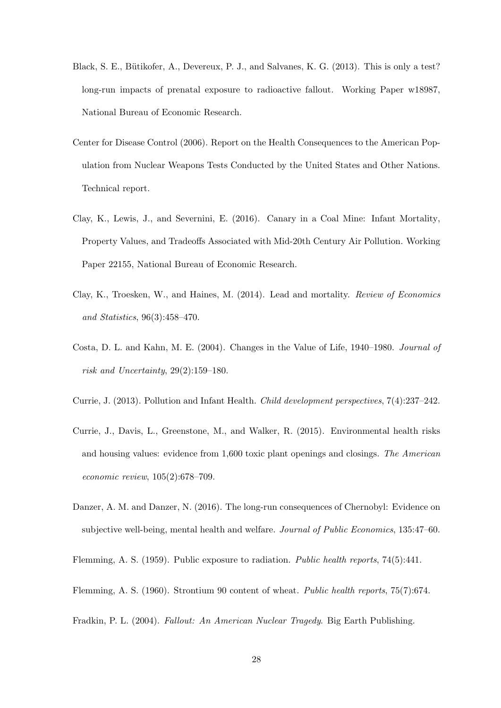- Black, S. E., Bütikofer, A., Devereux, P. J., and Salvanes, K. G. (2013). This is only a test? long-run impacts of prenatal exposure to radioactive fallout. Working Paper w18987, National Bureau of Economic Research.
- Center for Disease Control (2006). Report on the Health Consequences to the American Population from Nuclear Weapons Tests Conducted by the United States and Other Nations. Technical report.
- Clay, K., Lewis, J., and Severnini, E. (2016). Canary in a Coal Mine: Infant Mortality, Property Values, and Tradeoffs Associated with Mid-20th Century Air Pollution. Working Paper 22155, National Bureau of Economic Research.
- Clay, K., Troesken, W., and Haines, M. (2014). Lead and mortality. *Review of Economics and Statistics*, 96(3):458–470.
- Costa, D. L. and Kahn, M. E. (2004). Changes in the Value of Life, 1940–1980. *Journal of risk and Uncertainty*, 29(2):159–180.
- Currie, J. (2013). Pollution and Infant Health. *Child development perspectives*, 7(4):237–242.
- Currie, J., Davis, L., Greenstone, M., and Walker, R. (2015). Environmental health risks and housing values: evidence from 1,600 toxic plant openings and closings. *The American economic review*, 105(2):678–709.
- Danzer, A. M. and Danzer, N. (2016). The long-run consequences of Chernobyl: Evidence on subjective well-being, mental health and welfare. *Journal of Public Economics*, 135:47–60.

Flemming, A. S. (1959). Public exposure to radiation. *Public health reports*, 74(5):441.

- Flemming, A. S. (1960). Strontium 90 content of wheat. *Public health reports*, 75(7):674.
- Fradkin, P. L. (2004). *Fallout: An American Nuclear Tragedy*. Big Earth Publishing.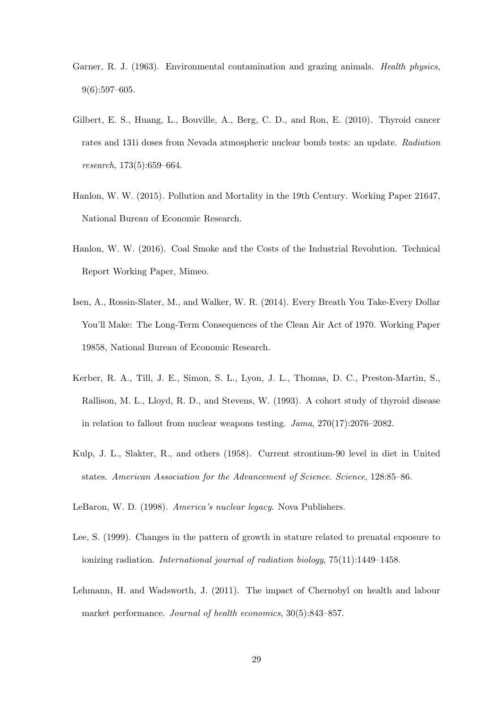- Garner, R. J. (1963). Environmental contamination and grazing animals. *Health physics*, 9(6):597–605.
- Gilbert, E. S., Huang, L., Bouville, A., Berg, C. D., and Ron, E. (2010). Thyroid cancer rates and 131i doses from Nevada atmospheric nuclear bomb tests: an update. *Radiation research*, 173(5):659–664.
- Hanlon, W. W. (2015). Pollution and Mortality in the 19th Century. Working Paper 21647, National Bureau of Economic Research.
- Hanlon, W. W. (2016). Coal Smoke and the Costs of the Industrial Revolution. Technical Report Working Paper, Mimeo.
- Isen, A., Rossin-Slater, M., and Walker, W. R. (2014). Every Breath You Take-Every Dollar You'll Make: The Long-Term Consequences of the Clean Air Act of 1970. Working Paper 19858, National Bureau of Economic Research.
- Kerber, R. A., Till, J. E., Simon, S. L., Lyon, J. L., Thomas, D. C., Preston-Martin, S., Rallison, M. L., Lloyd, R. D., and Stevens, W. (1993). A cohort study of thyroid disease in relation to fallout from nuclear weapons testing. *Jama*, 270(17):2076–2082.
- Kulp, J. L., Slakter, R., and others (1958). Current strontium-90 level in diet in United states. *American Association for the Advancement of Science. Science*, 128:85–86.
- LeBaron, W. D. (1998). *America's nuclear legacy*. Nova Publishers.
- Lee, S. (1999). Changes in the pattern of growth in stature related to prenatal exposure to ionizing radiation. *International journal of radiation biology*, 75(11):1449–1458.
- Lehmann, H. and Wadsworth, J. (2011). The impact of Chernobyl on health and labour market performance. *Journal of health economics*, 30(5):843–857.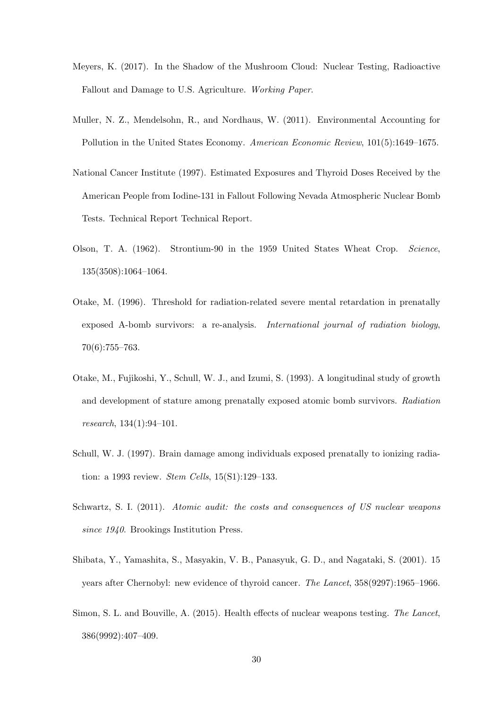- Meyers, K. (2017). In the Shadow of the Mushroom Cloud: Nuclear Testing, Radioactive Fallout and Damage to U.S. Agriculture. *Working Paper*.
- Muller, N. Z., Mendelsohn, R., and Nordhaus, W. (2011). Environmental Accounting for Pollution in the United States Economy. *American Economic Review*, 101(5):1649–1675.
- National Cancer Institute (1997). Estimated Exposures and Thyroid Doses Received by the American People from Iodine-131 in Fallout Following Nevada Atmospheric Nuclear Bomb Tests. Technical Report Technical Report.
- Olson, T. A. (1962). Strontium-90 in the 1959 United States Wheat Crop. *Science*, 135(3508):1064–1064.
- Otake, M. (1996). Threshold for radiation-related severe mental retardation in prenatally exposed A-bomb survivors: a re-analysis. *International journal of radiation biology*, 70(6):755–763.
- Otake, M., Fujikoshi, Y., Schull, W. J., and Izumi, S. (1993). A longitudinal study of growth and development of stature among prenatally exposed atomic bomb survivors. *Radiation research*, 134(1):94–101.
- Schull, W. J. (1997). Brain damage among individuals exposed prenatally to ionizing radiation: a 1993 review. *Stem Cells*, 15(S1):129–133.
- Schwartz, S. I. (2011). *Atomic audit: the costs and consequences of US nuclear weapons since 1940*. Brookings Institution Press.
- Shibata, Y., Yamashita, S., Masyakin, V. B., Panasyuk, G. D., and Nagataki, S. (2001). 15 years after Chernobyl: new evidence of thyroid cancer. *The Lancet*, 358(9297):1965–1966.
- Simon, S. L. and Bouville, A. (2015). Health effects of nuclear weapons testing. *The Lancet*, 386(9992):407–409.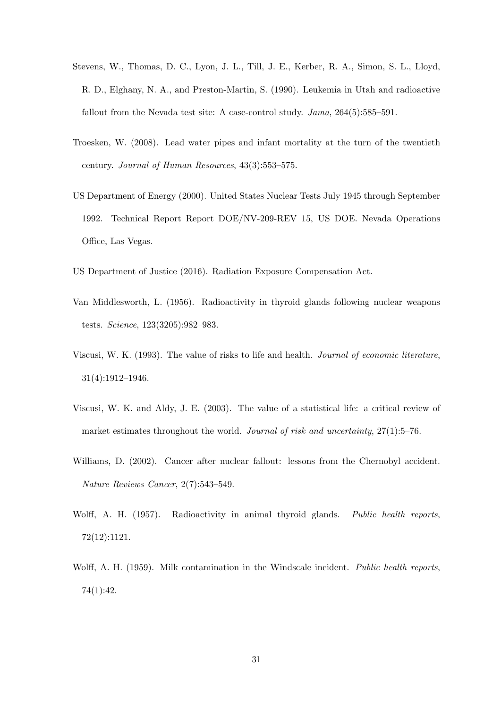- Stevens, W., Thomas, D. C., Lyon, J. L., Till, J. E., Kerber, R. A., Simon, S. L., Lloyd, R. D., Elghany, N. A., and Preston-Martin, S. (1990). Leukemia in Utah and radioactive fallout from the Nevada test site: A case-control study. *Jama*, 264(5):585–591.
- Troesken, W. (2008). Lead water pipes and infant mortality at the turn of the twentieth century. *Journal of Human Resources*, 43(3):553–575.
- US Department of Energy (2000). United States Nuclear Tests July 1945 through September 1992. Technical Report Report DOE/NV-209-REV 15, US DOE. Nevada Operations Office, Las Vegas.
- US Department of Justice (2016). Radiation Exposure Compensation Act.
- Van Middlesworth, L. (1956). Radioactivity in thyroid glands following nuclear weapons tests. *Science*, 123(3205):982–983.
- Viscusi, W. K. (1993). The value of risks to life and health. *Journal of economic literature*, 31(4):1912–1946.
- Viscusi, W. K. and Aldy, J. E. (2003). The value of a statistical life: a critical review of market estimates throughout the world. *Journal of risk and uncertainty*, 27(1):5–76.
- Williams, D. (2002). Cancer after nuclear fallout: lessons from the Chernobyl accident. *Nature Reviews Cancer*, 2(7):543–549.
- Wolff, A. H. (1957). Radioactivity in animal thyroid glands. *Public health reports*, 72(12):1121.
- Wolff, A. H. (1959). Milk contamination in the Windscale incident. *Public health reports*, 74(1):42.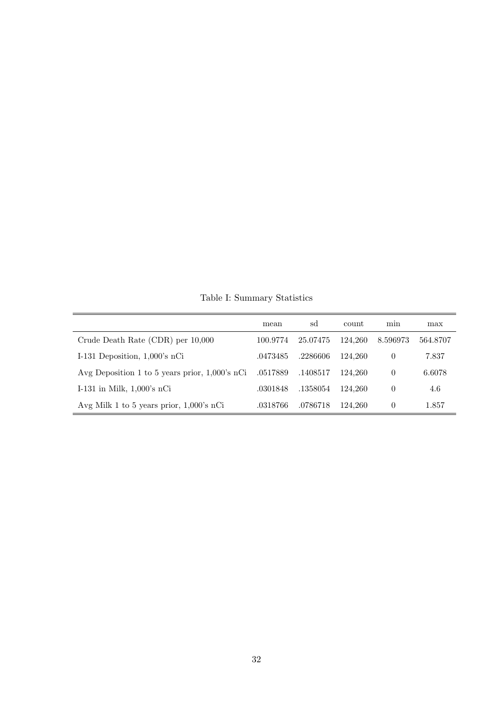Table I: Summary Statistics

|                                                   | mean     | sd       | <b>count</b> | min      | max      |
|---------------------------------------------------|----------|----------|--------------|----------|----------|
| Crude Death Rate (CDR) per 10,000                 | 100.9774 | 25.07475 | 124.260      | 8.596973 | 564.8707 |
| I-131 Deposition, $1,000$ 's nCi                  | .0473485 | .2286606 | 124.260      | $\theta$ | 7.837    |
| Avg Deposition 1 to 5 years prior, $1,000$ 's nCi | .0517889 | .1408517 | 124.260      | $\theta$ | 6.6078   |
| I-131 in Milk, $1,000$ 's nCi                     | .0301848 | .1358054 | 124.260      | $\theta$ | 4.6      |
| Avg Milk 1 to 5 years prior, 1,000's nCi          | .0318766 | .0786718 | 124.260      | $\theta$ | 1.857    |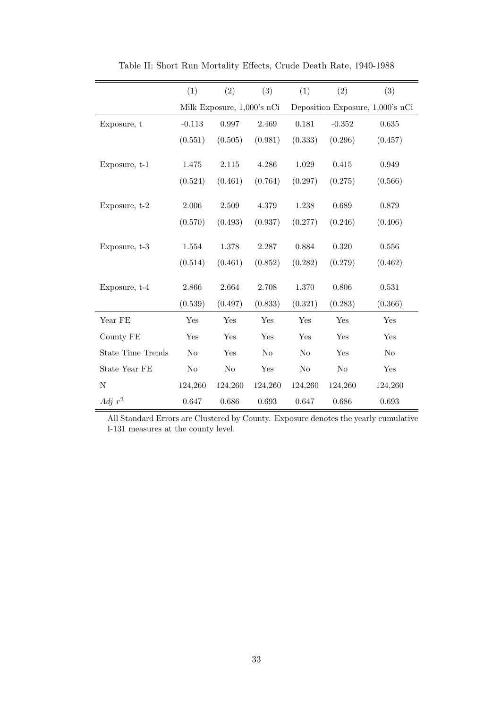|                          | (1)                        | (2)     | (3)            | (1)                              | (2)      | (3)            |  |
|--------------------------|----------------------------|---------|----------------|----------------------------------|----------|----------------|--|
|                          | Milk Exposure, 1,000's nCi |         |                | Deposition Exposure, 1,000's nCi |          |                |  |
| Exposure, t              | $-0.113$                   | 0.997   | 2.469          | 0.181                            | $-0.352$ | 0.635          |  |
|                          | (0.551)                    | (0.505) | (0.981)        | (0.333)                          | (0.296)  | (0.457)        |  |
| Exposure, t-1            | 1.475                      | 2.115   | 4.286          | $1.029\,$                        | 0.415    | 0.949          |  |
|                          | (0.524)                    | (0.461) | (0.764)        | (0.297)                          | (0.275)  | (0.566)        |  |
| Exposure, t-2            | $2.006\,$                  | 2.509   | 4.379          | 1.238                            | 0.689    | 0.879          |  |
|                          | (0.570)                    | (0.493) | (0.937)        | (0.277)                          | (0.246)  | (0.406)        |  |
| Exposure, t-3            | 1.554                      | 1.378   | 2.287          | 0.884                            | 0.320    | 0.556          |  |
|                          | (0.514)                    | (0.461) | (0.852)        | (0.282)                          | (0.279)  | (0.462)        |  |
| Exposure, t-4            | 2.866                      | 2.664   | 2.708          | 1.370                            | 0.806    | 0.531          |  |
|                          | (0.539)                    | (0.497) | (0.833)        | (0.321)                          | (0.283)  | (0.366)        |  |
| Year FE                  | Yes                        | Yes     | Yes            | Yes                              | Yes      | Yes            |  |
| County FE                | Yes                        | Yes     | Yes            | Yes                              | Yes      | Yes            |  |
| <b>State Time Trends</b> | No                         | Yes     | N <sub>o</sub> | No                               | Yes      | N <sub>o</sub> |  |
| State Year FE            | $\rm No$                   | No      | Yes            | $\rm No$                         | $\rm No$ | Yes            |  |
| $\mathbf N$              | 124,260                    | 124,260 | 124,260        | 124,260                          | 124,260  | 124,260        |  |
| Adj $r^2$                | 0.647                      | 0.686   | 0.693          | 0.647                            | 0.686    | 0.693          |  |

Table II: Short Run Mortality Effects, Crude Death Rate, 1940-1988

All Standard Errors are Clustered by County. Exposure denotes the yearly cumulative I-131 measures at the county level.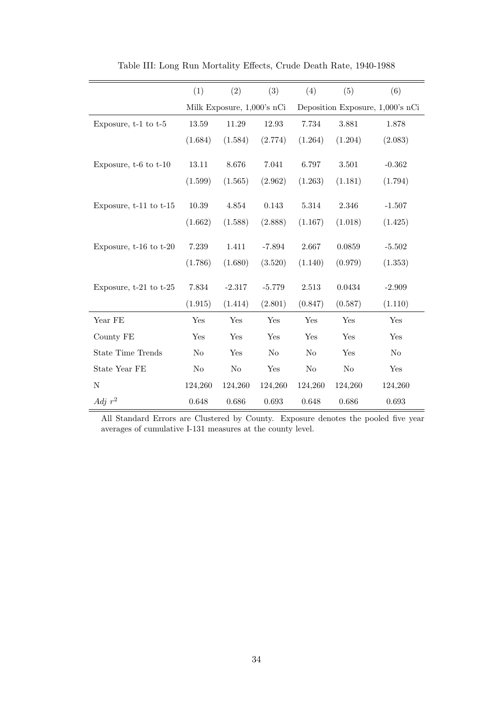|                            | (1)     | (2)                        | (3)      | (4)      | (5)     | (6)                              |
|----------------------------|---------|----------------------------|----------|----------|---------|----------------------------------|
|                            |         | Milk Exposure, 1,000's nCi |          |          |         | Deposition Exposure, 1,000's nCi |
| Exposure, $t-1$ to $t-5$   | 13.59   | 11.29                      | 12.93    | 7.734    | 3.881   | 1.878                            |
|                            | (1.684) | (1.584)                    | (2.774)  | (1.264)  | (1.204) | (2.083)                          |
| Exposure, $t-6$ to $t-10$  | 13.11   | 8.676                      | 7.041    | 6.797    | 3.501   | $-0.362$                         |
|                            | (1.599) | (1.565)                    | (2.962)  | (1.263)  | (1.181) | (1.794)                          |
| Exposure, $t-11$ to $t-15$ | 10.39   | 4.854                      | 0.143    | 5.314    | 2.346   | $-1.507$                         |
|                            | (1.662) | (1.588)                    | (2.888)  | (1.167)  | (1.018) | (1.425)                          |
| Exposure, $t-16$ to $t-20$ | 7.239   | 1.411                      | $-7.894$ | 2.667    | 0.0859  | $-5.502$                         |
|                            | (1.786) | (1.680)                    | (3.520)  | (1.140)  | (0.979) | (1.353)                          |
| Exposure, $t-21$ to $t-25$ | 7.834   | $-2.317$                   | $-5.779$ | 2.513    | 0.0434  | $-2.909$                         |
|                            | (1.915) | (1.414)                    | (2.801)  | (0.847)  | (0.587) | (1.110)                          |
| Year FE                    | Yes     | Yes                        | Yes      | Yes      | Yes     | Yes                              |
| County FE                  | Yes     | Yes                        | Yes      | Yes      | Yes     | Yes                              |
| <b>State Time Trends</b>   | No      | Yes                        | No       | $\rm No$ | Yes     | No                               |
| State Year FE              | No      | $\rm No$                   | Yes      | No       | No      | Yes                              |
| $\mathbf N$                | 124,260 | 124,260                    | 124,260  | 124,260  | 124,260 | 124,260                          |
| Adj $r^2$                  | 0.648   | 0.686                      | 0.693    | 0.648    | 0.686   | 0.693                            |

Table III: Long Run Mortality Effects, Crude Death Rate, 1940-1988

All Standard Errors are Clustered by County. Exposure denotes the pooled five year averages of cumulative I-131 measures at the county level.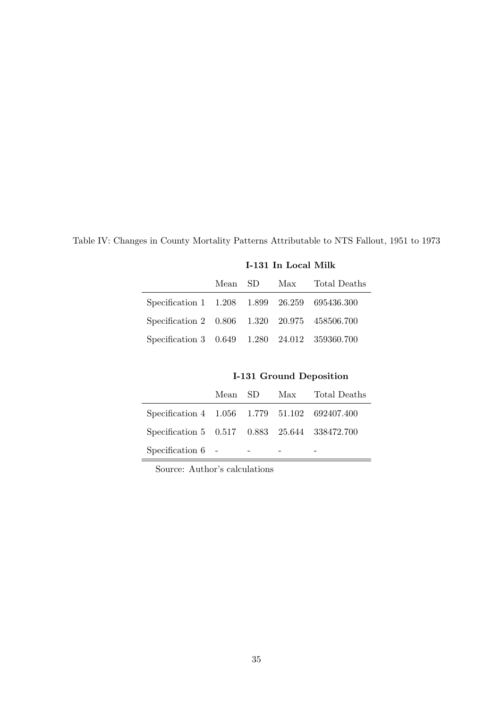|                                               | <b>I-131 In Local Milk</b> |  |  |                          |  |
|-----------------------------------------------|----------------------------|--|--|--------------------------|--|
|                                               |                            |  |  | Mean SD Max Total Deaths |  |
| Specification 1 1.208 1.899 26.259 695436.300 |                            |  |  |                          |  |
| Specification 2 0.806 1.320 20.975 458506.700 |                            |  |  |                          |  |
| Specification 3 0.649 1.280 24.012 359360.700 |                            |  |  |                          |  |

Table IV: Changes in County Mortality Patterns Attributable to NTS Fallout, 1951 to 1973

I-131 Ground Deposition

|                                               |  | Mean SD Max Total Deaths |
|-----------------------------------------------|--|--------------------------|
| Specification 4 1.056 1.779 51.102 692407.400 |  |                          |
| Specification 5 0.517 0.883 25.644 338472.700 |  |                          |
| Specification $6 -$                           |  |                          |

Source: Author's calculations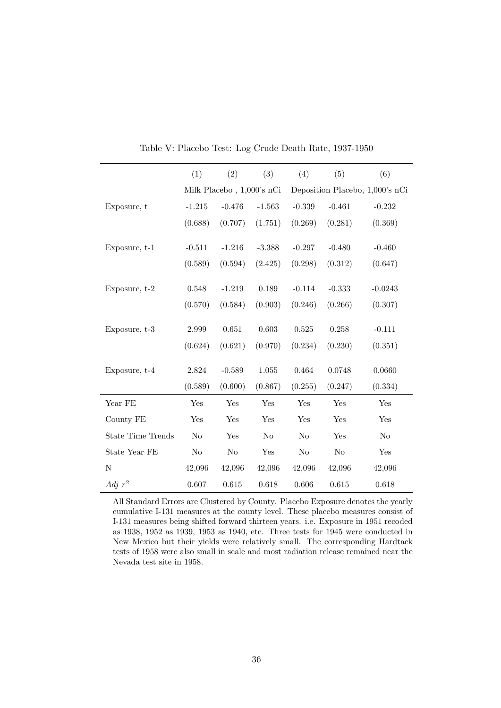|                          | (1)      | (2)                           | (3)       | (4)      | (5)       | (6)                             |
|--------------------------|----------|-------------------------------|-----------|----------|-----------|---------------------------------|
|                          |          | Milk Placebo , $1,000$ 's nCi |           |          |           | Deposition Placebo, 1,000's nCi |
| Exposure, t              | $-1.215$ | $-0.476$                      | $-1.563$  | $-0.339$ | $-0.461$  | $-0.232$                        |
|                          | (0.688)  | (0.707)                       | (1.751)   | (0.269)  | (0.281)   | (0.369)                         |
|                          |          |                               |           |          |           |                                 |
| Exposure, t-1            | $-0.511$ | $-1.216$                      | $-3.388$  | $-0.297$ | $-0.480$  | $-0.460$                        |
|                          | (0.589)  | (0.594)                       | (2.425)   | (0.298)  | (0.312)   | (0.647)                         |
|                          |          |                               |           |          |           |                                 |
| Exposure, t-2            | 0.548    | $-1.219$                      | 0.189     | $-0.114$ | $-0.333$  | $-0.0243$                       |
|                          | (0.570)  | (0.584)                       | (0.903)   | (0.246)  | (0.266)   | (0.307)                         |
|                          |          |                               | 0.603     |          |           |                                 |
| Exposure, t-3            | 2.999    | 0.651                         |           | 0.525    | $0.258\,$ | $-0.111$                        |
|                          | (0.624)  | (0.621)                       | (0.970)   | (0.234)  | (0.230)   | (0.351)                         |
| Exposure, t-4            | 2.824    | $-0.589$                      | $1.055\,$ | 0.464    | 0.0748    | 0.0660                          |
|                          | (0.589)  | (0.600)                       | (0.867)   | (0.255)  | (0.247)   | (0.334)                         |
| Year FE                  | Yes      | Yes                           | Yes       | Yes      | Yes       | Yes                             |
| County FE                | Yes      | Yes                           | Yes       | Yes      | Yes       | Yes                             |
| <b>State Time Trends</b> | No       | Yes                           | No        | No       | Yes       | No                              |
| State Year FE            | $\rm No$ | $\rm No$                      | Yes       | No       | No        | Yes                             |
| N                        | 42,096   | 42,096                        | 42,096    | 42,096   | 42,096    | 42,096                          |
| Adj $r^2$                | 0.607    | 0.615                         | 0.618     | 0.606    | 0.615     | 0.618                           |

Table V: Placebo Test: Log Crude Death Rate, 1937-1950

All Standard Errors are Clustered by County. Placebo Exposure denotes the yearly cumulative I-131 measures at the county level. These placebo measures consist of I-131 measures being shifted forward thirteen years. i.e. Exposure in 1951 recoded as 1938, 1952 as 1939, 1953 as 1940, etc. Three tests for 1945 were conducted in New Mexico but their yields were relatively small. The corresponding Hardtack tests of 1958 were also small in scale and most radiation release remained near the Nevada test site in 1958.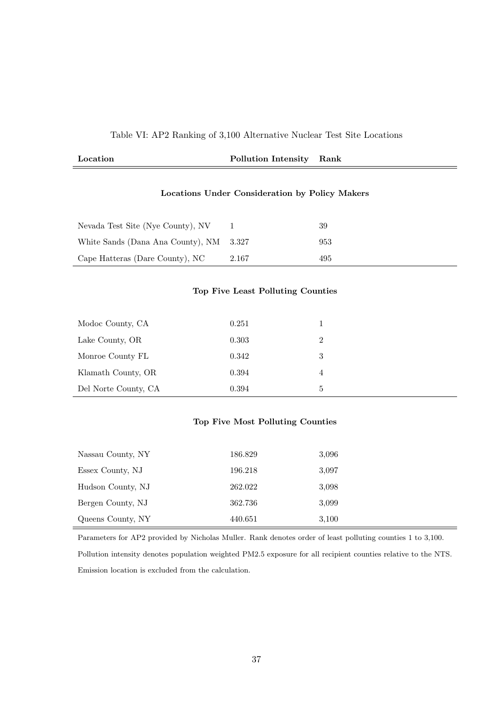#### Table VI: AP2 Ranking of 3,100 Alternative Nuclear Test Site Locations

| Location<br>. | Pollution Intensity | Rank |
|---------------|---------------------|------|
|               |                     |      |

#### Locations Under Consideration by Policy Makers

| Nevada Test Site (Nye County), NV       |       | 39  |
|-----------------------------------------|-------|-----|
| White Sands (Dana Ana County), NM 3.327 |       | 953 |
| Cape Hatteras (Dare County), NC         | 2.167 | 495 |

#### Top Five Least Polluting Counties

| Modoc County, CA     | 0.251 |   |
|----------------------|-------|---|
| Lake County, OR      | 0.303 | 2 |
| Monroe County FL     | 0.342 | 3 |
| Klamath County, OR   | 0.394 | 4 |
| Del Norte County, CA | 0.394 | 5 |

#### Top Five Most Polluting Counties

| Nassau County, NY | 186.829 | 3.096 |
|-------------------|---------|-------|
| Essex County, NJ  | 196.218 | 3,097 |
| Hudson County, NJ | 262.022 | 3.098 |
| Bergen County, NJ | 362.736 | 3,099 |
| Queens County, NY | 440.651 | 3,100 |

Parameters for AP2 provided by Nicholas Muller. Rank denotes order of least polluting counties 1 to 3,100. Pollution intensity denotes population weighted PM2.5 exposure for all recipient counties relative to the NTS. Emission location is excluded from the calculation.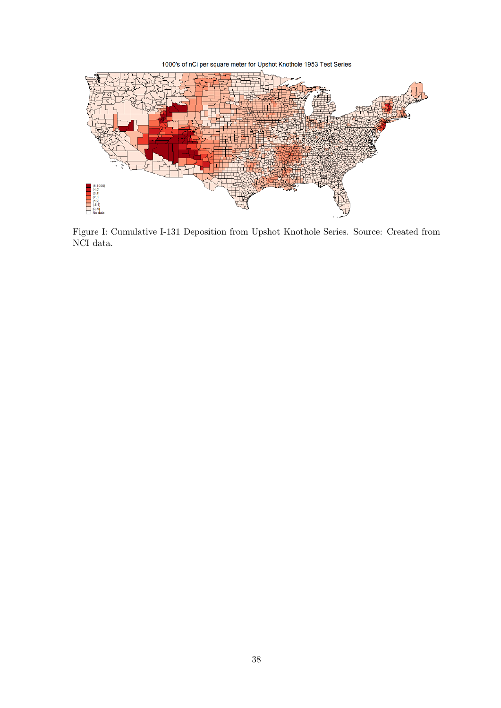1000's of nCi per square meter for Upshot Knothole 1953 Test Series



Figure I: Cumulative I-131 Deposition from Upshot Knothole Series. Source: Created from NCI data.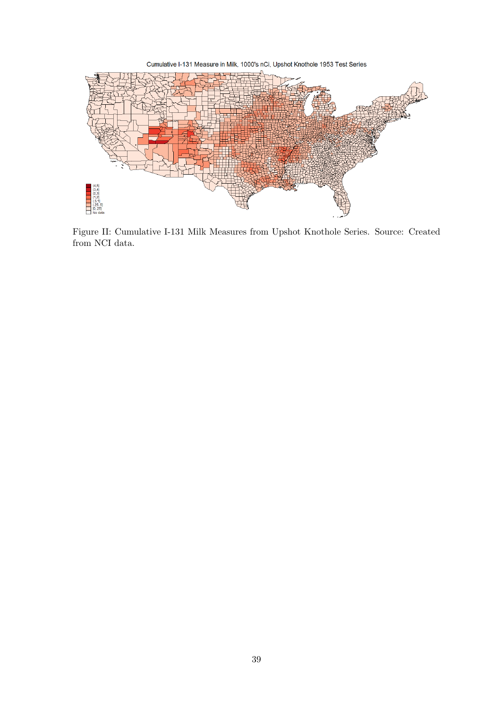Cumulative I-131 Measure in Milk, 1000's nCi, Upshot Knothole 1953 Test Series



Figure II: Cumulative I-131 Milk Measures from Upshot Knothole Series. Source: Created from NCI data.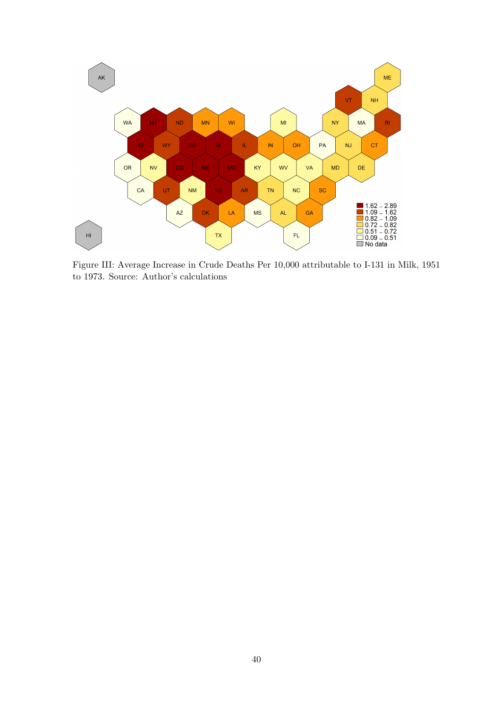

Figure III: Average Increase in Crude Deaths Per 10,000 attributable to I-131 in Milk, 1951 to 1973. Source: Author's calculations